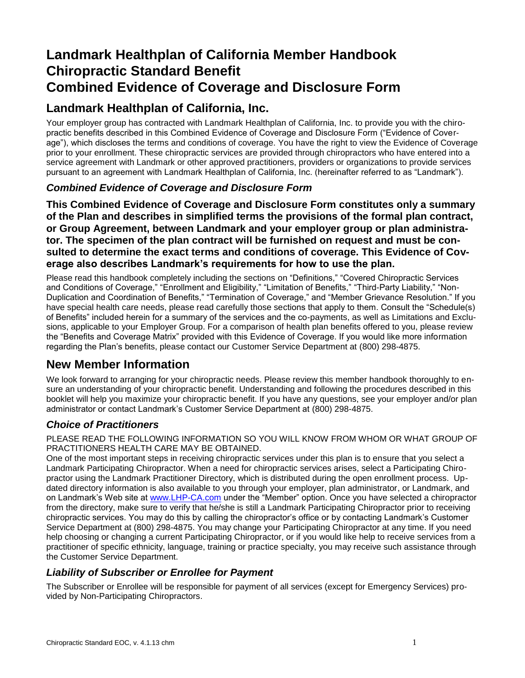# **Landmark Healthplan of California Member Handbook Chiropractic Standard Benefit Combined Evidence of Coverage and Disclosure Form**

# **Landmark Healthplan of California, Inc.**

Your employer group has contracted with Landmark Healthplan of California, Inc. to provide you with the chiropractic benefits described in this Combined Evidence of Coverage and Disclosure Form ("Evidence of Coverage"), which discloses the terms and conditions of coverage. You have the right to view the Evidence of Coverage prior to your enrollment. These chiropractic services are provided through chiropractors who have entered into a service agreement with Landmark or other approved practitioners, providers or organizations to provide services pursuant to an agreement with Landmark Healthplan of California, Inc. (hereinafter referred to as "Landmark").

### *Combined Evidence of Coverage and Disclosure Form*

**This Combined Evidence of Coverage and Disclosure Form constitutes only a summary of the Plan and describes in simplified terms the provisions of the formal plan contract, or Group Agreement, between Landmark and your employer group or plan administrator. The specimen of the plan contract will be furnished on request and must be consulted to determine the exact terms and conditions of coverage. This Evidence of Coverage also describes Landmark's requirements for how to use the plan.** 

Please read this handbook completely including the sections on "Definitions," "Covered Chiropractic Services and Conditions of Coverage," "Enrollment and Eligibility," "Limitation of Benefits," "Third-Party Liability," "Non-Duplication and Coordination of Benefits," "Termination of Coverage," and "Member Grievance Resolution." If you have special health care needs, please read carefully those sections that apply to them. Consult the "Schedule(s) of Benefits" included herein for a summary of the services and the co-payments, as well as Limitations and Exclusions, applicable to your Employer Group. For a comparison of health plan benefits offered to you, please review the "Benefits and Coverage Matrix" provided with this Evidence of Coverage. If you would like more information regarding the Plan's benefits, please contact our Customer Service Department at (800) 298-4875.

# **New Member Information**

We look forward to arranging for your chiropractic needs. Please review this member handbook thoroughly to ensure an understanding of your chiropractic benefit. Understanding and following the procedures described in this booklet will help you maximize your chiropractic benefit. If you have any questions, see your employer and/or plan administrator or contact Landmark's Customer Service Department at (800) 298-4875.

### *Choice of Practitioners*

PLEASE READ THE FOLLOWING INFORMATION SO YOU WILL KNOW FROM WHOM OR WHAT GROUP OF PRACTITIONERS HEALTH CARE MAY BE OBTAINED.

One of the most important steps in receiving chiropractic services under this plan is to ensure that you select a Landmark Participating Chiropractor. When a need for chiropractic services arises, select a Participating Chiropractor using the Landmark Practitioner Directory, which is distributed during the open enrollment process. Updated directory information is also available to you through your employer, plan administrator, or Landmark, and on Landmark's Web site at [www.LHP-CA.com](http://www.lhp-ca.com/) under the "Member" option. Once you have selected a chiropractor from the directory, make sure to verify that he/she is still a Landmark Participating Chiropractor prior to receiving chiropractic services. You may do this by calling the chiropractor's office or by contacting Landmark's Customer Service Department at (800) 298-4875. You may change your Participating Chiropractor at any time. If you need help choosing or changing a current Participating Chiropractor, or if you would like help to receive services from a practitioner of specific ethnicity, language, training or practice specialty, you may receive such assistance through the Customer Service Department.

## *Liability of Subscriber or Enrollee for Payment*

The Subscriber or Enrollee will be responsible for payment of all services (except for Emergency Services) provided by Non-Participating Chiropractors.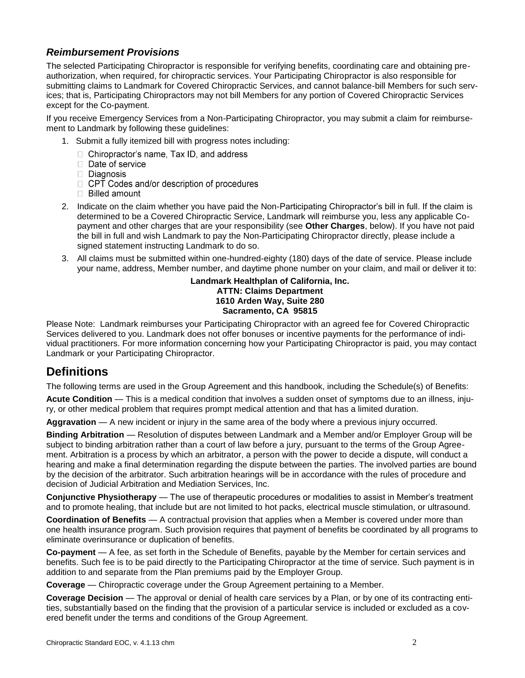### *Reimbursement Provisions*

The selected Participating Chiropractor is responsible for verifying benefits, coordinating care and obtaining preauthorization, when required, for chiropractic services. Your Participating Chiropractor is also responsible for submitting claims to Landmark for Covered Chiropractic Services, and cannot balance-bill Members for such services; that is, Participating Chiropractors may not bill Members for any portion of Covered Chiropractic Services except for the Co-payment.

If you receive Emergency Services from a Non-Participating Chiropractor, you may submit a claim for reimbursement to Landmark by following these guidelines:

- 1. Submit a fully itemized bill with progress notes including:
	- □ Chiropractor's name, Tax ID, and address
	- Date of service
	- Diagnosis
	- $\Box$  CPT Codes and/or description of procedures
	- **Billed amount**
- 2. Indicate on the claim whether you have paid the Non-Participating Chiropractor's bill in full. If the claim is determined to be a Covered Chiropractic Service, Landmark will reimburse you, less any applicable Copayment and other charges that are your responsibility (see **Other Charges**, below). If you have not paid the bill in full and wish Landmark to pay the Non-Participating Chiropractor directly, please include a signed statement instructing Landmark to do so.
- 3. All claims must be submitted within one-hundred-eighty (180) days of the date of service. Please include your name, address, Member number, and daytime phone number on your claim, and mail or deliver it to:

#### **Landmark Healthplan of California, Inc. ATTN: Claims Department 1610 Arden Way, Suite 280 Sacramento, CA 95815**

Please Note: Landmark reimburses your Participating Chiropractor with an agreed fee for Covered Chiropractic Services delivered to you. Landmark does not offer bonuses or incentive payments for the performance of individual practitioners. For more information concerning how your Participating Chiropractor is paid, you may contact Landmark or your Participating Chiropractor.

# **Definitions**

The following terms are used in the Group Agreement and this handbook, including the Schedule(s) of Benefits:

**Acute Condition** — This is a medical condition that involves a sudden onset of symptoms due to an illness, injury, or other medical problem that requires prompt medical attention and that has a limited duration.

**Aggravation** — A new incident or injury in the same area of the body where a previous injury occurred.

**Binding Arbitration** — Resolution of disputes between Landmark and a Member and/or Employer Group will be subject to binding arbitration rather than a court of law before a jury, pursuant to the terms of the Group Agreement. Arbitration is a process by which an arbitrator, a person with the power to decide a dispute, will conduct a hearing and make a final determination regarding the dispute between the parties. The involved parties are bound by the decision of the arbitrator. Such arbitration hearings will be in accordance with the rules of procedure and decision of Judicial Arbitration and Mediation Services, Inc.

**Conjunctive Physiotherapy** — The use of therapeutic procedures or modalities to assist in Member's treatment and to promote healing, that include but are not limited to hot packs, electrical muscle stimulation, or ultrasound.

**Coordination of Benefits** — A contractual provision that applies when a Member is covered under more than one health insurance program. Such provision requires that payment of benefits be coordinated by all programs to eliminate overinsurance or duplication of benefits.

**Co-payment** — A fee, as set forth in the Schedule of Benefits, payable by the Member for certain services and benefits. Such fee is to be paid directly to the Participating Chiropractor at the time of service. Such payment is in addition to and separate from the Plan premiums paid by the Employer Group.

**Coverage** — Chiropractic coverage under the Group Agreement pertaining to a Member.

**Coverage Decision** — The approval or denial of health care services by a Plan, or by one of its contracting entities, substantially based on the finding that the provision of a particular service is included or excluded as a covered benefit under the terms and conditions of the Group Agreement.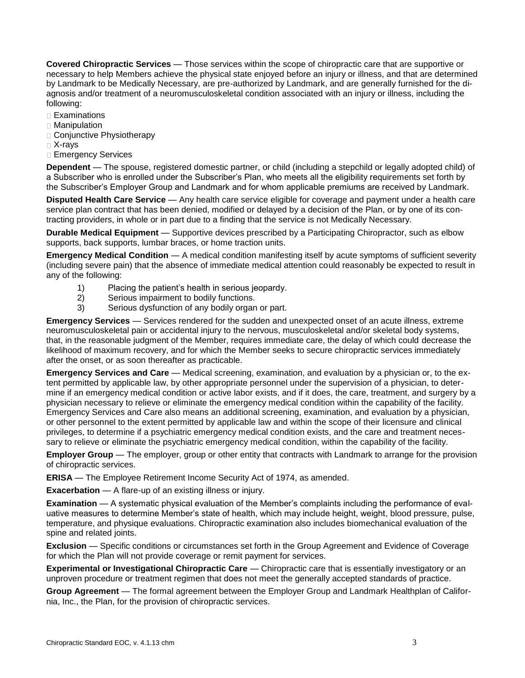**Covered Chiropractic Services** — Those services within the scope of chiropractic care that are supportive or necessary to help Members achieve the physical state enjoyed before an injury or illness, and that are determined by Landmark to be Medically Necessary, are pre-authorized by Landmark, and are generally furnished for the diagnosis and/or treatment of a neuromusculoskeletal condition associated with an injury or illness, including the following:

- $\square$  Examinations
- Manipulation
- Conjunctive Physiotherapy
- X-rays
- Emergency Services

**Dependent** — The spouse, registered domestic partner, or child (including a stepchild or legally adopted child) of a Subscriber who is enrolled under the Subscriber's Plan, who meets all the eligibility requirements set forth by the Subscriber's Employer Group and Landmark and for whom applicable premiums are received by Landmark.

**Disputed Health Care Service** — Any health care service eligible for coverage and payment under a health care service plan contract that has been denied, modified or delayed by a decision of the Plan, or by one of its contracting providers, in whole or in part due to a finding that the service is not Medically Necessary.

**Durable Medical Equipment** — Supportive devices prescribed by a Participating Chiropractor, such as elbow supports, back supports, lumbar braces, or home traction units.

**Emergency Medical Condition** — A medical condition manifesting itself by acute symptoms of sufficient severity (including severe pain) that the absence of immediate medical attention could reasonably be expected to result in any of the following:

- 1) Placing the patient's health in serious jeopardy.
- 2) Serious impairment to bodily functions.
- 3) Serious dysfunction of any bodily organ or part.

**Emergency Services** — Services rendered for the sudden and unexpected onset of an acute illness, extreme neuromusculoskeletal pain or accidental injury to the nervous, musculoskeletal and/or skeletal body systems, that, in the reasonable judgment of the Member, requires immediate care, the delay of which could decrease the likelihood of maximum recovery, and for which the Member seeks to secure chiropractic services immediately after the onset, or as soon thereafter as practicable.

**Emergency Services and Care** — Medical screening, examination, and evaluation by a physician or, to the extent permitted by applicable law, by other appropriate personnel under the supervision of a physician, to determine if an emergency medical condition or active labor exists, and if it does, the care, treatment, and surgery by a physician necessary to relieve or eliminate the emergency medical condition within the capability of the facility. Emergency Services and Care also means an additional screening, examination, and evaluation by a physician, or other personnel to the extent permitted by applicable law and within the scope of their licensure and clinical privileges, to determine if a psychiatric emergency medical condition exists, and the care and treatment necessary to relieve or eliminate the psychiatric emergency medical condition, within the capability of the facility.

**Employer Group** — The employer, group or other entity that contracts with Landmark to arrange for the provision of chiropractic services.

**ERISA** — The Employee Retirement Income Security Act of 1974, as amended.

**Exacerbation** — A flare-up of an existing illness or injury.

**Examination** — A systematic physical evaluation of the Member's complaints including the performance of evaluative measures to determine Member's state of health, which may include height, weight, blood pressure, pulse, temperature, and physique evaluations. Chiropractic examination also includes biomechanical evaluation of the spine and related joints.

**Exclusion** — Specific conditions or circumstances set forth in the Group Agreement and Evidence of Coverage for which the Plan will not provide coverage or remit payment for services.

**Experimental or Investigational Chiropractic Care** — Chiropractic care that is essentially investigatory or an unproven procedure or treatment regimen that does not meet the generally accepted standards of practice.

**Group Agreement** — The formal agreement between the Employer Group and Landmark Healthplan of California, Inc., the Plan, for the provision of chiropractic services.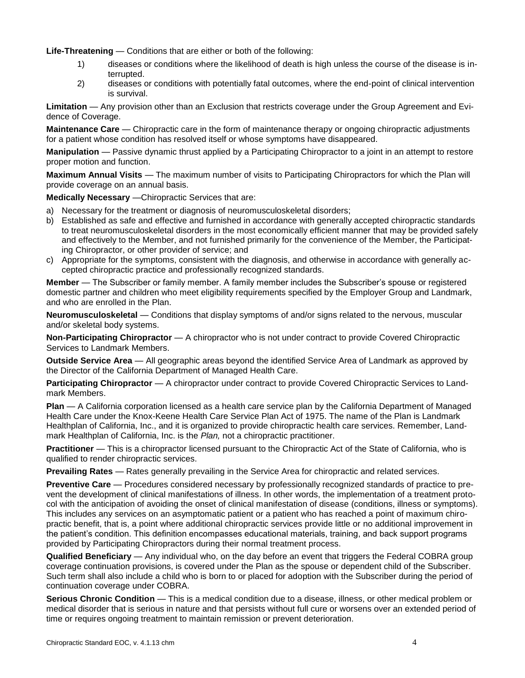Life-Threatening — Conditions that are either or both of the following:

- 1) diseases or conditions where the likelihood of death is high unless the course of the disease is interrupted.
- 2) diseases or conditions with potentially fatal outcomes, where the end-point of clinical intervention is survival.

**Limitation** — Any provision other than an Exclusion that restricts coverage under the Group Agreement and Evidence of Coverage.

**Maintenance Care** — Chiropractic care in the form of maintenance therapy or ongoing chiropractic adjustments for a patient whose condition has resolved itself or whose symptoms have disappeared.

**Manipulation** — Passive dynamic thrust applied by a Participating Chiropractor to a joint in an attempt to restore proper motion and function.

**Maximum Annual Visits** — The maximum number of visits to Participating Chiropractors for which the Plan will provide coverage on an annual basis.

**Medically Necessary** —Chiropractic Services that are:

- a) Necessary for the treatment or diagnosis of neuromusculoskeletal disorders;
- b) Established as safe and effective and furnished in accordance with generally accepted chiropractic standards to treat neuromusculoskeletal disorders in the most economically efficient manner that may be provided safely and effectively to the Member, and not furnished primarily for the convenience of the Member, the Participating Chiropractor, or other provider of service; and
- c) Appropriate for the symptoms, consistent with the diagnosis, and otherwise in accordance with generally accepted chiropractic practice and professionally recognized standards.

**Member** — The Subscriber or family member. A family member includes the Subscriber's spouse or registered domestic partner and children who meet eligibility requirements specified by the Employer Group and Landmark, and who are enrolled in the Plan.

**Neuromusculoskeletal** — Conditions that display symptoms of and/or signs related to the nervous, muscular and/or skeletal body systems.

**Non-Participating Chiropractor** — A chiropractor who is not under contract to provide Covered Chiropractic Services to Landmark Members.

**Outside Service Area** — All geographic areas beyond the identified Service Area of Landmark as approved by the Director of the California Department of Managed Health Care.

**Participating Chiropractor** — A chiropractor under contract to provide Covered Chiropractic Services to Landmark Members.

**Plan** — A California corporation licensed as a health care service plan by the California Department of Managed Health Care under the Knox-Keene Health Care Service Plan Act of 1975. The name of the Plan is Landmark Healthplan of California, Inc., and it is organized to provide chiropractic health care services. Remember, Landmark Healthplan of California, Inc. is the *Plan,* not a chiropractic practitioner.

**Practitioner** — This is a chiropractor licensed pursuant to the Chiropractic Act of the State of California, who is qualified to render chiropractic services.

**Prevailing Rates** — Rates generally prevailing in the Service Area for chiropractic and related services.

**Preventive Care** — Procedures considered necessary by professionally recognized standards of practice to prevent the development of clinical manifestations of illness. In other words, the implementation of a treatment protocol with the anticipation of avoiding the onset of clinical manifestation of disease (conditions, illness or symptoms). This includes any services on an asymptomatic patient or a patient who has reached a point of maximum chiropractic benefit, that is, a point where additional chiropractic services provide little or no additional improvement in the patient's condition. This definition encompasses educational materials, training, and back support programs provided by Participating Chiropractors during their normal treatment process.

**Qualified Beneficiary** — Any individual who, on the day before an event that triggers the Federal COBRA group coverage continuation provisions, is covered under the Plan as the spouse or dependent child of the Subscriber. Such term shall also include a child who is born to or placed for adoption with the Subscriber during the period of continuation coverage under COBRA.

**Serious Chronic Condition** — This is a medical condition due to a disease, illness, or other medical problem or medical disorder that is serious in nature and that persists without full cure or worsens over an extended period of time or requires ongoing treatment to maintain remission or prevent deterioration.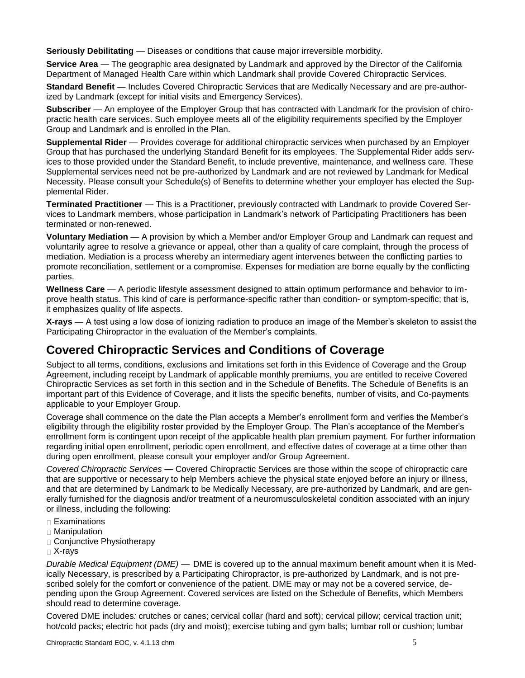**Seriously Debilitating** — Diseases or conditions that cause major irreversible morbidity.

**Service Area** — The geographic area designated by Landmark and approved by the Director of the California Department of Managed Health Care within which Landmark shall provide Covered Chiropractic Services.

**Standard Benefit** — Includes Covered Chiropractic Services that are Medically Necessary and are pre-authorized by Landmark (except for initial visits and Emergency Services).

**Subscriber** — An employee of the Employer Group that has contracted with Landmark for the provision of chiropractic health care services. Such employee meets all of the eligibility requirements specified by the Employer Group and Landmark and is enrolled in the Plan.

**Supplemental Rider** — Provides coverage for additional chiropractic services when purchased by an Employer Group that has purchased the underlying Standard Benefit for its employees. The Supplemental Rider adds services to those provided under the Standard Benefit, to include preventive, maintenance, and wellness care. These Supplemental services need not be pre-authorized by Landmark and are not reviewed by Landmark for Medical Necessity. Please consult your Schedule(s) of Benefits to determine whether your employer has elected the Supplemental Rider.

**Terminated Practitioner** — This is a Practitioner, previously contracted with Landmark to provide Covered Services to Landmark members, whose participation in Landmark's network of Participating Practitioners has been terminated or non-renewed.

**Voluntary Mediation** — A provision by which a Member and/or Employer Group and Landmark can request and voluntarily agree to resolve a grievance or appeal, other than a quality of care complaint, through the process of mediation. Mediation is a process whereby an intermediary agent intervenes between the conflicting parties to promote reconciliation, settlement or a compromise. Expenses for mediation are borne equally by the conflicting parties.

**Wellness Care** — A periodic lifestyle assessment designed to attain optimum performance and behavior to improve health status. This kind of care is performance-specific rather than condition- or symptom-specific; that is, it emphasizes quality of life aspects.

**X-rays** — A test using a low dose of ionizing radiation to produce an image of the Member's skeleton to assist the Participating Chiropractor in the evaluation of the Member's complaints.

# **Covered Chiropractic Services and Conditions of Coverage**

Subject to all terms, conditions, exclusions and limitations set forth in this Evidence of Coverage and the Group Agreement, including receipt by Landmark of applicable monthly premiums, you are entitled to receive Covered Chiropractic Services as set forth in this section and in the Schedule of Benefits. The Schedule of Benefits is an important part of this Evidence of Coverage, and it lists the specific benefits, number of visits, and Co-payments applicable to your Employer Group.

Coverage shall commence on the date the Plan accepts a Member's enrollment form and verifies the Member's eligibility through the eligibility roster provided by the Employer Group. The Plan's acceptance of the Member's enrollment form is contingent upon receipt of the applicable health plan premium payment. For further information regarding initial open enrollment, periodic open enrollment, and effective dates of coverage at a time other than during open enrollment, please consult your employer and/or Group Agreement.

*Covered Chiropractic Services —* Covered Chiropractic Services are those within the scope of chiropractic care that are supportive or necessary to help Members achieve the physical state enjoyed before an injury or illness, and that are determined by Landmark to be Medically Necessary, are pre-authorized by Landmark, and are generally furnished for the diagnosis and/or treatment of a neuromusculoskeletal condition associated with an injury or illness, including the following:

- □ Examinations
- Manipulation
- Conjunctive Physiotherapy
- X-rays

*Durable Medical Equipment (DME) —* DME is covered up to the annual maximum benefit amount when it is Medically Necessary, is prescribed by a Participating Chiropractor, is pre-authorized by Landmark, and is not prescribed solely for the comfort or convenience of the patient. DME may or may not be a covered service, depending upon the Group Agreement. Covered services are listed on the Schedule of Benefits, which Members should read to determine coverage.

Covered DME includes*:* crutches or canes; cervical collar (hard and soft); cervical pillow; cervical traction unit; hot/cold packs; electric hot pads (dry and moist); exercise tubing and gym balls; lumbar roll or cushion; lumbar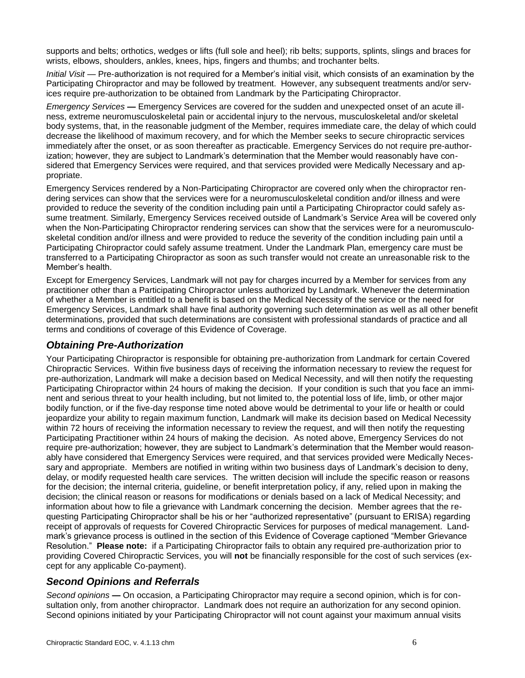supports and belts; orthotics, wedges or lifts (full sole and heel); rib belts; supports, splints, slings and braces for wrists, elbows, shoulders, ankles, knees, hips, fingers and thumbs; and trochanter belts.

*Initial Visit —* Pre-authorization is not required for a Member's initial visit, which consists of an examination by the Participating Chiropractor and may be followed by treatment. However, any subsequent treatments and/or services require pre-authorization to be obtained from Landmark by the Participating Chiropractor.

*Emergency Services —* Emergency Services are covered for the sudden and unexpected onset of an acute illness, extreme neuromusculoskeletal pain or accidental injury to the nervous, musculoskeletal and/or skeletal body systems, that, in the reasonable judgment of the Member, requires immediate care, the delay of which could decrease the likelihood of maximum recovery, and for which the Member seeks to secure chiropractic services immediately after the onset, or as soon thereafter as practicable. Emergency Services do not require pre-authorization; however, they are subject to Landmark's determination that the Member would reasonably have considered that Emergency Services were required, and that services provided were Medically Necessary and appropriate.

Emergency Services rendered by a Non-Participating Chiropractor are covered only when the chiropractor rendering services can show that the services were for a neuromusculoskeletal condition and/or illness and were provided to reduce the severity of the condition including pain until a Participating Chiropractor could safely assume treatment. Similarly, Emergency Services received outside of Landmark's Service Area will be covered only when the Non-Participating Chiropractor rendering services can show that the services were for a neuromusculoskeletal condition and/or illness and were provided to reduce the severity of the condition including pain until a Participating Chiropractor could safely assume treatment. Under the Landmark Plan, emergency care must be transferred to a Participating Chiropractor as soon as such transfer would not create an unreasonable risk to the Member's health.

Except for Emergency Services, Landmark will not pay for charges incurred by a Member for services from any practitioner other than a Participating Chiropractor unless authorized by Landmark. Whenever the determination of whether a Member is entitled to a benefit is based on the Medical Necessity of the service or the need for Emergency Services, Landmark shall have final authority governing such determination as well as all other benefit determinations, provided that such determinations are consistent with professional standards of practice and all terms and conditions of coverage of this Evidence of Coverage.

### *Obtaining Pre-Authorization*

Your Participating Chiropractor is responsible for obtaining pre-authorization from Landmark for certain Covered Chiropractic Services. Within five business days of receiving the information necessary to review the request for pre-authorization, Landmark will make a decision based on Medical Necessity, and will then notify the requesting Participating Chiropractor within 24 hours of making the decision. If your condition is such that you face an imminent and serious threat to your health including, but not limited to, the potential loss of life, limb, or other major bodily function, or if the five-day response time noted above would be detrimental to your life or health or could jeopardize your ability to regain maximum function, Landmark will make its decision based on Medical Necessity within 72 hours of receiving the information necessary to review the request, and will then notify the requesting Participating Practitioner within 24 hours of making the decision. As noted above, Emergency Services do not require pre-authorization; however, they are subject to Landmark's determination that the Member would reasonably have considered that Emergency Services were required, and that services provided were Medically Necessary and appropriate. Members are notified in writing within two business days of Landmark's decision to deny, delay, or modify requested health care services. The written decision will include the specific reason or reasons for the decision; the internal criteria, guideline, or benefit interpretation policy, if any, relied upon in making the decision; the clinical reason or reasons for modifications or denials based on a lack of Medical Necessity; and information about how to file a grievance with Landmark concerning the decision. Member agrees that the requesting Participating Chiropractor shall be his or her "authorized representative" (pursuant to ERISA) regarding receipt of approvals of requests for Covered Chiropractic Services for purposes of medical management. Landmark's grievance process is outlined in the section of this Evidence of Coverage captioned "Member Grievance Resolution." **Please note:** if a Participating Chiropractor fails to obtain any required pre-authorization prior to providing Covered Chiropractic Services, you will **not** be financially responsible for the cost of such services (except for any applicable Co-payment).

### *Second Opinions and Referrals*

*Second opinions* **—** On occasion, a Participating Chiropractor may require a second opinion, which is for consultation only, from another chiropractor. Landmark does not require an authorization for any second opinion. Second opinions initiated by your Participating Chiropractor will not count against your maximum annual visits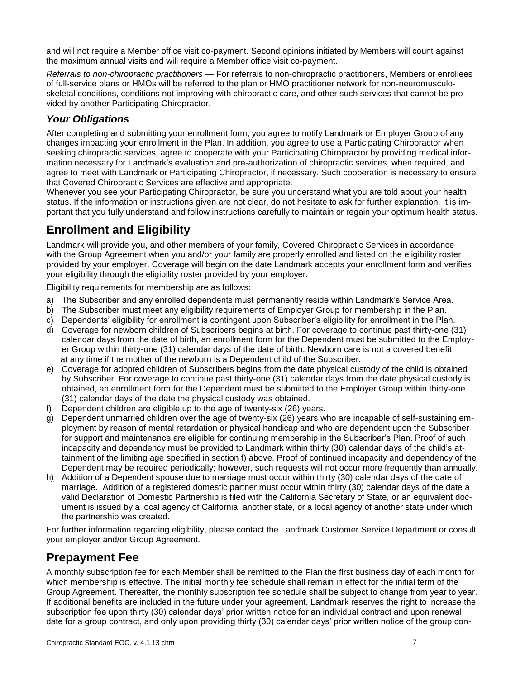and will not require a Member office visit co-payment. Second opinions initiated by Members will count against the maximum annual visits and will require a Member office visit co-payment.

*Referrals to non-chiropractic practitioners* **—** For referrals to non-chiropractic practitioners, Members or enrollees of full-service plans or HMOs will be referred to the plan or HMO practitioner network for non-neuromusculoskeletal conditions, conditions not improving with chiropractic care, and other such services that cannot be provided by another Participating Chiropractor.

### *Your Obligations*

After completing and submitting your enrollment form, you agree to notify Landmark or Employer Group of any changes impacting your enrollment in the Plan. In addition, you agree to use a Participating Chiropractor when seeking chiropractic services, agree to cooperate with your Participating Chiropractor by providing medical information necessary for Landmark's evaluation and pre-authorization of chiropractic services, when required, and agree to meet with Landmark or Participating Chiropractor, if necessary. Such cooperation is necessary to ensure that Covered Chiropractic Services are effective and appropriate.

Whenever you see your Participating Chiropractor, be sure you understand what you are told about your health status. If the information or instructions given are not clear, do not hesitate to ask for further explanation. It is important that you fully understand and follow instructions carefully to maintain or regain your optimum health status.

# **Enrollment and Eligibility**

Landmark will provide you, and other members of your family, Covered Chiropractic Services in accordance with the Group Agreement when you and/or your family are properly enrolled and listed on the eligibility roster provided by your employer. Coverage will begin on the date Landmark accepts your enrollment form and verifies your eligibility through the eligibility roster provided by your employer.

Eligibility requirements for membership are as follows:

- a) The Subscriber and any enrolled dependents must permanently reside within Landmark's Service Area.
- b) The Subscriber must meet any eligibility requirements of Employer Group for membership in the Plan.
- c) Dependents' eligibility for enrollment is contingent upon Subscriber's eligibility for enrollment in the Plan.
- d) Coverage for newborn children of Subscribers begins at birth. For coverage to continue past thirty-one (31) calendar days from the date of birth, an enrollment form for the Dependent must be submitted to the Employer Group within thirty-one (31) calendar days of the date of birth. Newborn care is not a covered benefit at any time if the mother of the newborn is a Dependent child of the Subscriber.
- e) Coverage for adopted children of Subscribers begins from the date physical custody of the child is obtained by Subscriber. For coverage to continue past thirty-one (31) calendar days from the date physical custody is obtained, an enrollment form for the Dependent must be submitted to the Employer Group within thirty-one (31) calendar days of the date the physical custody was obtained.
- f) Dependent children are eligible up to the age of twenty-six (26) years.
- g) Dependent unmarried children over the age of twenty-six (26) years who are incapable of self-sustaining employment by reason of mental retardation or physical handicap and who are dependent upon the Subscriber for support and maintenance are eligible for continuing membership in the Subscriber's Plan. Proof of such incapacity and dependency must be provided to Landmark within thirty (30) calendar days of the child's attainment of the limiting age specified in section f) above. Proof of continued incapacity and dependency of the Dependent may be required periodically; however, such requests will not occur more frequently than annually.
- h) Addition of a Dependent spouse due to marriage must occur within thirty (30) calendar days of the date of marriage. Addition of a registered domestic partner must occur within thirty (30) calendar days of the date a valid Declaration of Domestic Partnership is filed with the California Secretary of State, or an equivalent document is issued by a local agency of California, another state, or a local agency of another state under which the partnership was created.

For further information regarding eligibility, please contact the Landmark Customer Service Department or consult your employer and/or Group Agreement.

# **Prepayment Fee**

A monthly subscription fee for each Member shall be remitted to the Plan the first business day of each month for which membership is effective. The initial monthly fee schedule shall remain in effect for the initial term of the Group Agreement. Thereafter, the monthly subscription fee schedule shall be subject to change from year to year. If additional benefits are included in the future under your agreement, Landmark reserves the right to increase the subscription fee upon thirty (30) calendar days' prior written notice for an individual contract and upon renewal date for a group contract, and only upon providing thirty (30) calendar days' prior written notice of the group con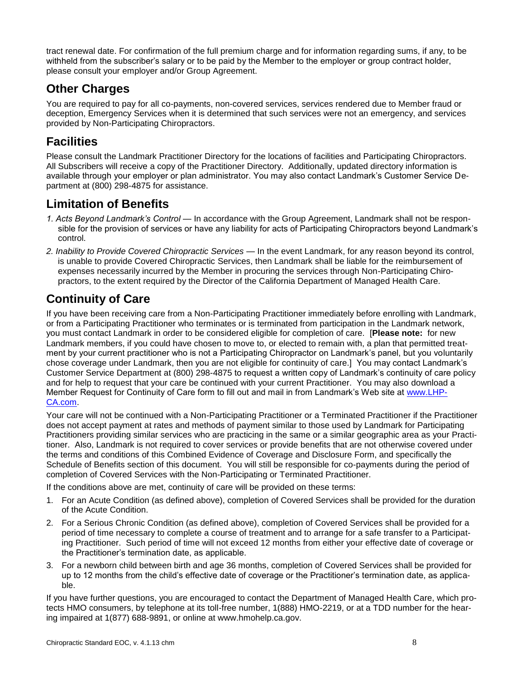tract renewal date. For confirmation of the full premium charge and for information regarding sums, if any, to be withheld from the subscriber's salary or to be paid by the Member to the employer or group contract holder, please consult your employer and/or Group Agreement.

# **Other Charges**

You are required to pay for all co-payments, non-covered services, services rendered due to Member fraud or deception, Emergency Services when it is determined that such services were not an emergency, and services provided by Non-Participating Chiropractors.

## **Facilities**

Please consult the Landmark Practitioner Directory for the locations of facilities and Participating Chiropractors. All Subscribers will receive a copy of the Practitioner Directory. Additionally, updated directory information is available through your employer or plan administrator. You may also contact Landmark's Customer Service Department at (800) 298-4875 for assistance.

# **Limitation of Benefits**

- *1. Acts Beyond Landmark's Control*  In accordance with the Group Agreement, Landmark shall not be responsible for the provision of services or have any liability for acts of Participating Chiropractors beyond Landmark's control.
- *2. Inability to Provide Covered Chiropractic Services*  In the event Landmark, for any reason beyond its control, is unable to provide Covered Chiropractic Services, then Landmark shall be liable for the reimbursement of expenses necessarily incurred by the Member in procuring the services through Non-Participating Chiropractors, to the extent required by the Director of the California Department of Managed Health Care.

# **Continuity of Care**

If you have been receiving care from a Non-Participating Practitioner immediately before enrolling with Landmark, or from a Participating Practitioner who terminates or is terminated from participation in the Landmark network, you must contact Landmark in order to be considered eligible for completion of care. [**Please note:** for new Landmark members, if you could have chosen to move to, or elected to remain with, a plan that permitted treatment by your current practitioner who is not a Participating Chiropractor on Landmark's panel, but you voluntarily chose coverage under Landmark, then you are not eligible for continuity of care.] You may contact Landmark's Customer Service Department at (800) 298-4875 to request a written copy of Landmark's continuity of care policy and for help to request that your care be continued with your current Practitioner. You may also download a Member Request for Continuity of Care form to fill out and mail in from Landmark's Web site at [www.LHP-](http://www.lhp-ca.com/)[CA.com.](http://www.lhp-ca.com/)

Your care will not be continued with a Non-Participating Practitioner or a Terminated Practitioner if the Practitioner does not accept payment at rates and methods of payment similar to those used by Landmark for Participating Practitioners providing similar services who are practicing in the same or a similar geographic area as your Practitioner. Also, Landmark is not required to cover services or provide benefits that are not otherwise covered under the terms and conditions of this Combined Evidence of Coverage and Disclosure Form, and specifically the Schedule of Benefits section of this document. You will still be responsible for co-payments during the period of completion of Covered Services with the Non-Participating or Terminated Practitioner.

If the conditions above are met, continuity of care will be provided on these terms:

- 1. For an Acute Condition (as defined above), completion of Covered Services shall be provided for the duration of the Acute Condition.
- 2. For a Serious Chronic Condition (as defined above), completion of Covered Services shall be provided for a period of time necessary to complete a course of treatment and to arrange for a safe transfer to a Participating Practitioner. Such period of time will not exceed 12 months from either your effective date of coverage or the Practitioner's termination date, as applicable.
- 3. For a newborn child between birth and age 36 months, completion of Covered Services shall be provided for up to 12 months from the child's effective date of coverage or the Practitioner's termination date, as applicable.

If you have further questions, you are encouraged to contact the Department of Managed Health Care, which protects HMO consumers, by telephone at its toll-free number, 1(888) HMO-2219, or at a TDD number for the hearing impaired at 1(877) 688-9891, or online at www.hmohelp.ca.gov.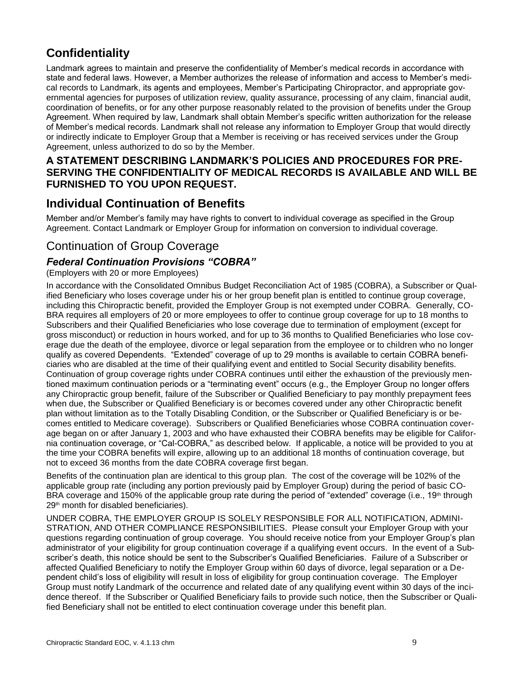# **Confidentiality**

Landmark agrees to maintain and preserve the confidentiality of Member's medical records in accordance with state and federal laws. However, a Member authorizes the release of information and access to Member's medical records to Landmark, its agents and employees, Member's Participating Chiropractor, and appropriate governmental agencies for purposes of utilization review, quality assurance, processing of any claim, financial audit, coordination of benefits, or for any other purpose reasonably related to the provision of benefits under the Group Agreement. When required by law, Landmark shall obtain Member's specific written authorization for the release of Member's medical records. Landmark shall not release any information to Employer Group that would directly or indirectly indicate to Employer Group that a Member is receiving or has received services under the Group Agreement, unless authorized to do so by the Member.

### **A STATEMENT DESCRIBING LANDMARK'S POLICIES AND PROCEDURES FOR PRE-SERVING THE CONFIDENTIALITY OF MEDICAL RECORDS IS AVAILABLE AND WILL BE FURNISHED TO YOU UPON REQUEST.**

# **Individual Continuation of Benefits**

Member and/or Member's family may have rights to convert to individual coverage as specified in the Group Agreement. Contact Landmark or Employer Group for information on conversion to individual coverage.

## Continuation of Group Coverage

### *Federal Continuation Provisions "COBRA"*

#### (Employers with 20 or more Employees)

In accordance with the Consolidated Omnibus Budget Reconciliation Act of 1985 (COBRA), a Subscriber or Qualified Beneficiary who loses coverage under his or her group benefit plan is entitled to continue group coverage, including this Chiropractic benefit, provided the Employer Group is not exempted under COBRA. Generally, CO-BRA requires all employers of 20 or more employees to offer to continue group coverage for up to 18 months to Subscribers and their Qualified Beneficiaries who lose coverage due to termination of employment (except for gross misconduct) or reduction in hours worked, and for up to 36 months to Qualified Beneficiaries who lose coverage due the death of the employee, divorce or legal separation from the employee or to children who no longer qualify as covered Dependents. "Extended" coverage of up to 29 months is available to certain COBRA beneficiaries who are disabled at the time of their qualifying event and entitled to Social Security disability benefits. Continuation of group coverage rights under COBRA continues until either the exhaustion of the previously mentioned maximum continuation periods or a "terminating event" occurs (e.g., the Employer Group no longer offers any Chiropractic group benefit, failure of the Subscriber or Qualified Beneficiary to pay monthly prepayment fees when due, the Subscriber or Qualified Beneficiary is or becomes covered under any other Chiropractic benefit plan without limitation as to the Totally Disabling Condition, or the Subscriber or Qualified Beneficiary is or becomes entitled to Medicare coverage). Subscribers or Qualified Beneficiaries whose COBRA continuation coverage began on or after January 1, 2003 and who have exhausted their COBRA benefits may be eligible for California continuation coverage, or "Cal-COBRA," as described below. If applicable, a notice will be provided to you at the time your COBRA benefits will expire, allowing up to an additional 18 months of continuation coverage, but not to exceed 36 months from the date COBRA coverage first began.

Benefits of the continuation plan are identical to this group plan. The cost of the coverage will be 102% of the applicable group rate (including any portion previously paid by Employer Group) during the period of basic CO-BRA coverage and 150% of the applicable group rate during the period of "extended" coverage (i.e., 19<sup>th</sup> through 29<sup>th</sup> month for disabled beneficiaries).

UNDER COBRA, THE EMPLOYER GROUP IS SOLELY RESPONSIBLE FOR ALL NOTIFICATION, ADMINI-STRATION, AND OTHER COMPLIANCE RESPONSIBILITIES. Please consult your Employer Group with your questions regarding continuation of group coverage. You should receive notice from your Employer Group's plan administrator of your eligibility for group continuation coverage if a qualifying event occurs. In the event of a Subscriber's death, this notice should be sent to the Subscriber's Qualified Beneficiaries.Failure of a Subscriber or affected Qualified Beneficiary to notify the Employer Group within 60 days of divorce, legal separation or a Dependent child's loss of eligibility will result in loss of eligibility for group continuation coverage.The Employer Group must notify Landmark of the occurrence and related date of any qualifying event within 30 days of the incidence thereof. If the Subscriber or Qualified Beneficiary fails to provide such notice, then the Subscriber or Qualified Beneficiary shall not be entitled to elect continuation coverage under this benefit plan.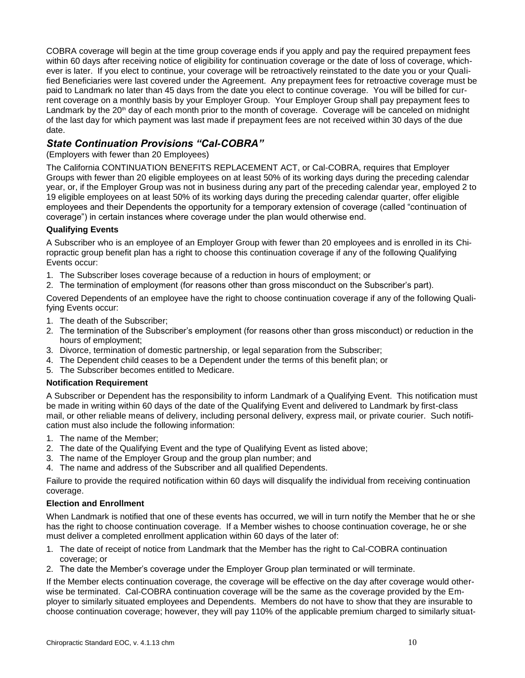COBRA coverage will begin at the time group coverage ends if you apply and pay the required prepayment fees within 60 days after receiving notice of eligibility for continuation coverage or the date of loss of coverage, whichever is later. If you elect to continue, your coverage will be retroactively reinstated to the date you or your Qualified Beneficiaries were last covered under the Agreement. Any prepayment fees for retroactive coverage must be paid to Landmark no later than 45 days from the date you elect to continue coverage. You will be billed for current coverage on a monthly basis by your Employer Group. Your Employer Group shall pay prepayment fees to Landmark by the 20<sup>th</sup> day of each month prior to the month of coverage. Coverage will be canceled on midnight of the last day for which payment was last made if prepayment fees are not received within 30 days of the due date.

#### *State Continuation Provisions "Cal-COBRA"*

#### (Employers with fewer than 20 Employees)

The California CONTINUATION BENEFITS REPLACEMENT ACT, or Cal-COBRA, requires that Employer Groups with fewer than 20 eligible employees on at least 50% of its working days during the preceding calendar year, or, if the Employer Group was not in business during any part of the preceding calendar year, employed 2 to 19 eligible employees on at least 50% of its working days during the preceding calendar quarter, offer eligible employees and their Dependents the opportunity for a temporary extension of coverage (called "continuation of coverage") in certain instances where coverage under the plan would otherwise end.

#### **Qualifying Events**

A Subscriber who is an employee of an Employer Group with fewer than 20 employees and is enrolled in its Chiropractic group benefit plan has a right to choose this continuation coverage if any of the following Qualifying Events occur:

- 1. The Subscriber loses coverage because of a reduction in hours of employment; or
- 2. The termination of employment (for reasons other than gross misconduct on the Subscriber's part).

Covered Dependents of an employee have the right to choose continuation coverage if any of the following Qualifying Events occur:

- 1. The death of the Subscriber;
- 2. The termination of the Subscriber's employment (for reasons other than gross misconduct) or reduction in the hours of employment;
- 3. Divorce, termination of domestic partnership, or legal separation from the Subscriber;
- 4. The Dependent child ceases to be a Dependent under the terms of this benefit plan; or
- 5. The Subscriber becomes entitled to Medicare.

#### **Notification Requirement**

A Subscriber or Dependent has the responsibility to inform Landmark of a Qualifying Event. This notification must be made in writing within 60 days of the date of the Qualifying Event and delivered to Landmark by first-class mail, or other reliable means of delivery, including personal delivery, express mail, or private courier. Such notification must also include the following information:

- 1. The name of the Member;
- 2. The date of the Qualifying Event and the type of Qualifying Event as listed above;
- 3. The name of the Employer Group and the group plan number; and
- 4. The name and address of the Subscriber and all qualified Dependents.

Failure to provide the required notification within 60 days will disqualify the individual from receiving continuation coverage.

#### **Election and Enrollment**

When Landmark is notified that one of these events has occurred, we will in turn notify the Member that he or she has the right to choose continuation coverage. If a Member wishes to choose continuation coverage, he or she must deliver a completed enrollment application within 60 days of the later of:

- 1. The date of receipt of notice from Landmark that the Member has the right to Cal-COBRA continuation coverage; or
- 2. The date the Member's coverage under the Employer Group plan terminated or will terminate.

If the Member elects continuation coverage, the coverage will be effective on the day after coverage would otherwise be terminated. Cal-COBRA continuation coverage will be the same as the coverage provided by the Employer to similarly situated employees and Dependents. Members do not have to show that they are insurable to choose continuation coverage; however, they will pay 110% of the applicable premium charged to similarly situat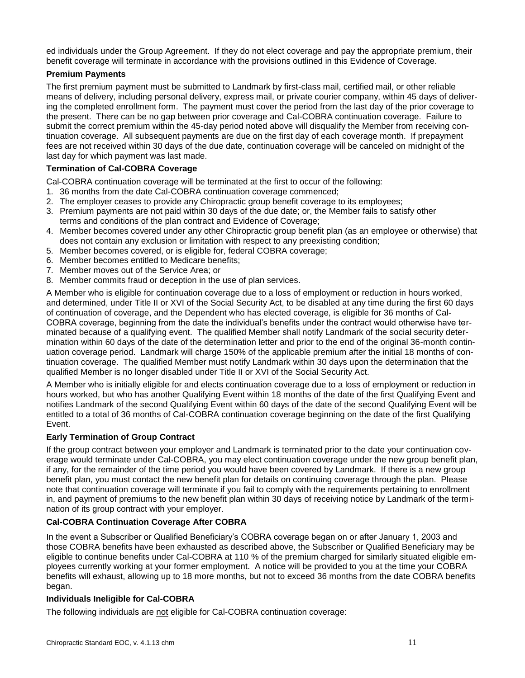ed individuals under the Group Agreement. If they do not elect coverage and pay the appropriate premium, their benefit coverage will terminate in accordance with the provisions outlined in this Evidence of Coverage.

#### **Premium Payments**

The first premium payment must be submitted to Landmark by first-class mail, certified mail, or other reliable means of delivery, including personal delivery, express mail, or private courier company, within 45 days of delivering the completed enrollment form. The payment must cover the period from the last day of the prior coverage to the present. There can be no gap between prior coverage and Cal-COBRA continuation coverage. Failure to submit the correct premium within the 45-day period noted above will disqualify the Member from receiving continuation coverage. All subsequent payments are due on the first day of each coverage month. If prepayment fees are not received within 30 days of the due date, continuation coverage will be canceled on midnight of the last day for which payment was last made.

#### **Termination of Cal-COBRA Coverage**

Cal-COBRA continuation coverage will be terminated at the first to occur of the following:

- 1. 36 months from the date Cal-COBRA continuation coverage commenced;
- 2. The employer ceases to provide any Chiropractic group benefit coverage to its employees;
- 3. Premium payments are not paid within 30 days of the due date; or, the Member fails to satisfy other terms and conditions of the plan contract and Evidence of Coverage;
- 4. Member becomes covered under any other Chiropractic group benefit plan (as an employee or otherwise) that does not contain any exclusion or limitation with respect to any preexisting condition;
- 5. Member becomes covered, or is eligible for, federal COBRA coverage;
- 6. Member becomes entitled to Medicare benefits;
- 7. Member moves out of the Service Area; or
- 8. Member commits fraud or deception in the use of plan services.

A Member who is eligible for continuation coverage due to a loss of employment or reduction in hours worked, and determined, under Title II or XVI of the Social Security Act, to be disabled at any time during the first 60 days of continuation of coverage, and the Dependent who has elected coverage, is eligible for 36 months of Cal-COBRA coverage, beginning from the date the individual's benefits under the contract would otherwise have terminated because of a qualifying event. The qualified Member shall notify Landmark of the social security determination within 60 days of the date of the determination letter and prior to the end of the original 36-month continuation coverage period. Landmark will charge 150% of the applicable premium after the initial 18 months of continuation coverage. The qualified Member must notify Landmark within 30 days upon the determination that the qualified Member is no longer disabled under Title II or XVI of the Social Security Act.

A Member who is initially eligible for and elects continuation coverage due to a loss of employment or reduction in hours worked, but who has another Qualifying Event within 18 months of the date of the first Qualifying Event and notifies Landmark of the second Qualifying Event within 60 days of the date of the second Qualifying Event will be entitled to a total of 36 months of Cal-COBRA continuation coverage beginning on the date of the first Qualifying Event.

#### **Early Termination of Group Contract**

If the group contract between your employer and Landmark is terminated prior to the date your continuation coverage would terminate under Cal-COBRA, you may elect continuation coverage under the new group benefit plan, if any, for the remainder of the time period you would have been covered by Landmark. If there is a new group benefit plan, you must contact the new benefit plan for details on continuing coverage through the plan. Please note that continuation coverage will terminate if you fail to comply with the requirements pertaining to enrollment in, and payment of premiums to the new benefit plan within 30 days of receiving notice by Landmark of the termination of its group contract with your employer.

#### **Cal-COBRA Continuation Coverage After COBRA**

In the event a Subscriber or Qualified Beneficiary's COBRA coverage began on or after January 1, 2003 and those COBRA benefits have been exhausted as described above, the Subscriber or Qualified Beneficiary may be eligible to continue benefits under Cal-COBRA at 110 % of the premium charged for similarly situated eligible employees currently working at your former employment. A notice will be provided to you at the time your COBRA benefits will exhaust, allowing up to 18 more months, but not to exceed 36 months from the date COBRA benefits began.

#### **Individuals Ineligible for Cal-COBRA**

The following individuals are not eligible for Cal-COBRA continuation coverage: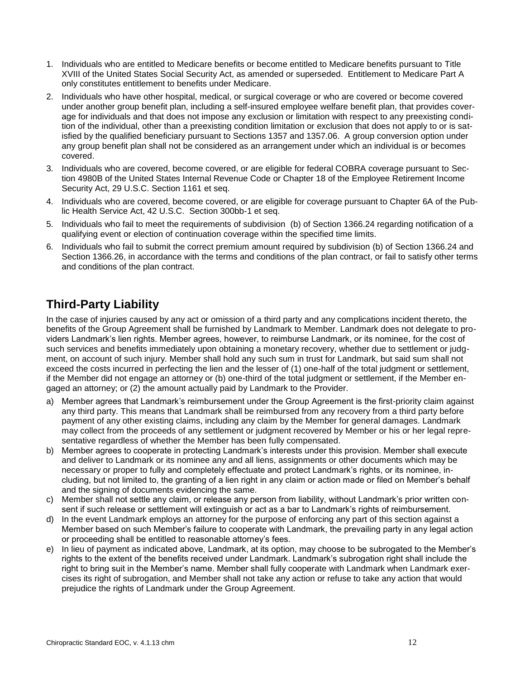- 1. Individuals who are entitled to Medicare benefits or become entitled to Medicare benefits pursuant to Title XVIII of the United States Social Security Act, as amended or superseded. Entitlement to Medicare Part A only constitutes entitlement to benefits under Medicare.
- 2. Individuals who have other hospital, medical, or surgical coverage or who are covered or become covered under another group benefit plan, including a self-insured employee welfare benefit plan, that provides coverage for individuals and that does not impose any exclusion or limitation with respect to any preexisting condition of the individual, other than a preexisting condition limitation or exclusion that does not apply to or is satisfied by the qualified beneficiary pursuant to Sections 1357 and 1357.06. A group conversion option under any group benefit plan shall not be considered as an arrangement under which an individual is or becomes covered.
- 3. Individuals who are covered, become covered, or are eligible for federal COBRA coverage pursuant to [Sec](http://www.westlaw.com/Find/Default.wl?rs=dfa1.0&vr=2.0&DB=1000546&DocName=26USCAS4980B&FindType=L)[tion 4980B of the United States Internal Revenue Code](http://www.westlaw.com/Find/Default.wl?rs=dfa1.0&vr=2.0&DB=1000546&DocName=26USCAS4980B&FindType=L) or Chapter 18 of the Employee Retirement Income Security Act, [29 U.S.C. Section 1161](http://www.westlaw.com/Find/Default.wl?rs=dfa1.0&vr=2.0&DB=1000546&DocName=29USCAS1161&FindType=L) et seq.
- 4. Individuals who are covered, become covered, or are eligible for coverage pursuant to Chapter 6A of the Public Health Service Act, 42 U.S.C. Section 300bb-1 et seq.
- 5. Individuals who fail to meet the requirements of subdivision (b) of Section 1366.24 regarding notification of a qualifying event or election of continuation coverage within the specified time limits.
- 6. Individuals who fail to submit the correct premium amount required by subdivision (b) of Section 1366.24 and Section 1366.26, in accordance with the terms and conditions of the plan contract, or fail to satisfy other terms and conditions of the plan contract.

# **Third-Party Liability**

In the case of injuries caused by any act or omission of a third party and any complications incident thereto, the benefits of the Group Agreement shall be furnished by Landmark to Member. Landmark does not delegate to providers Landmark's lien rights. Member agrees, however, to reimburse Landmark, or its nominee, for the cost of such services and benefits immediately upon obtaining a monetary recovery, whether due to settlement or judgment, on account of such injury. Member shall hold any such sum in trust for Landmark, but said sum shall not exceed the costs incurred in perfecting the lien and the lesser of (1) one-half of the total judgment or settlement, if the Member did not engage an attorney or (b) one-third of the total judgment or settlement, if the Member engaged an attorney; or (2) the amount actually paid by Landmark to the Provider.

- a) Member agrees that Landmark's reimbursement under the Group Agreement is the first-priority claim against any third party. This means that Landmark shall be reimbursed from any recovery from a third party before payment of any other existing claims, including any claim by the Member for general damages. Landmark may collect from the proceeds of any settlement or judgment recovered by Member or his or her legal representative regardless of whether the Member has been fully compensated.
- b) Member agrees to cooperate in protecting Landmark's interests under this provision. Member shall execute and deliver to Landmark or its nominee any and all liens, assignments or other documents which may be necessary or proper to fully and completely effectuate and protect Landmark's rights, or its nominee, including, but not limited to, the granting of a lien right in any claim or action made or filed on Member's behalf and the signing of documents evidencing the same.
- c) Member shall not settle any claim, or release any person from liability, without Landmark's prior written consent if such release or settlement will extinguish or act as a bar to Landmark's rights of reimbursement.
- d) In the event Landmark employs an attorney for the purpose of enforcing any part of this section against a Member based on such Member's failure to cooperate with Landmark, the prevailing party in any legal action or proceeding shall be entitled to reasonable attorney's fees.
- e) In lieu of payment as indicated above, Landmark, at its option, may choose to be subrogated to the Member's rights to the extent of the benefits received under Landmark. Landmark's subrogation right shall include the right to bring suit in the Member's name. Member shall fully cooperate with Landmark when Landmark exercises its right of subrogation, and Member shall not take any action or refuse to take any action that would prejudice the rights of Landmark under the Group Agreement.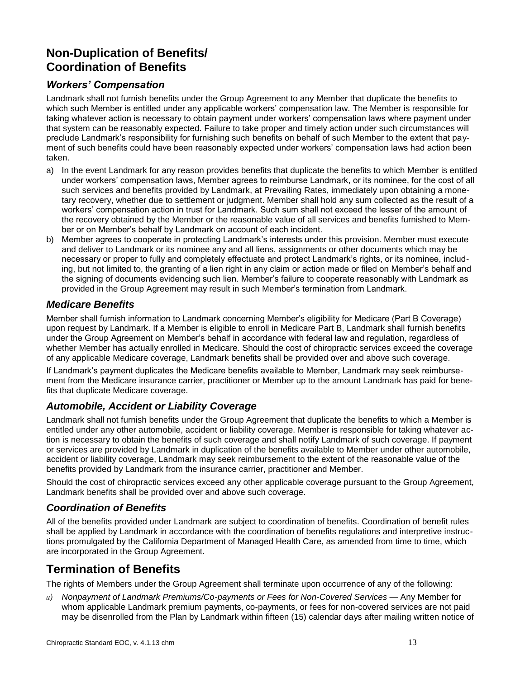# **Non-Duplication of Benefits/ Coordination of Benefits**

### *Workers' Compensation*

Landmark shall not furnish benefits under the Group Agreement to any Member that duplicate the benefits to which such Member is entitled under any applicable workers' compensation law. The Member is responsible for taking whatever action is necessary to obtain payment under workers' compensation laws where payment under that system can be reasonably expected. Failure to take proper and timely action under such circumstances will preclude Landmark's responsibility for furnishing such benefits on behalf of such Member to the extent that payment of such benefits could have been reasonably expected under workers' compensation laws had action been taken.

- a) In the event Landmark for any reason provides benefits that duplicate the benefits to which Member is entitled under workers' compensation laws, Member agrees to reimburse Landmark, or its nominee, for the cost of all such services and benefits provided by Landmark, at Prevailing Rates, immediately upon obtaining a monetary recovery, whether due to settlement or judgment. Member shall hold any sum collected as the result of a workers' compensation action in trust for Landmark. Such sum shall not exceed the lesser of the amount of the recovery obtained by the Member or the reasonable value of all services and benefits furnished to Member or on Member's behalf by Landmark on account of each incident.
- b) Member agrees to cooperate in protecting Landmark's interests under this provision. Member must execute and deliver to Landmark or its nominee any and all liens, assignments or other documents which may be necessary or proper to fully and completely effectuate and protect Landmark's rights, or its nominee, including, but not limited to, the granting of a lien right in any claim or action made or filed on Member's behalf and the signing of documents evidencing such lien. Member's failure to cooperate reasonably with Landmark as provided in the Group Agreement may result in such Member's termination from Landmark.

### *Medicare Benefits*

Member shall furnish information to Landmark concerning Member's eligibility for Medicare (Part B Coverage) upon request by Landmark. If a Member is eligible to enroll in Medicare Part B, Landmark shall furnish benefits under the Group Agreement on Member's behalf in accordance with federal law and regulation, regardless of whether Member has actually enrolled in Medicare. Should the cost of chiropractic services exceed the coverage of any applicable Medicare coverage, Landmark benefits shall be provided over and above such coverage.

If Landmark's payment duplicates the Medicare benefits available to Member, Landmark may seek reimbursement from the Medicare insurance carrier, practitioner or Member up to the amount Landmark has paid for benefits that duplicate Medicare coverage.

## *Automobile, Accident or Liability Coverage*

Landmark shall not furnish benefits under the Group Agreement that duplicate the benefits to which a Member is entitled under any other automobile, accident or liability coverage. Member is responsible for taking whatever action is necessary to obtain the benefits of such coverage and shall notify Landmark of such coverage. If payment or services are provided by Landmark in duplication of the benefits available to Member under other automobile, accident or liability coverage, Landmark may seek reimbursement to the extent of the reasonable value of the benefits provided by Landmark from the insurance carrier, practitioner and Member.

Should the cost of chiropractic services exceed any other applicable coverage pursuant to the Group Agreement, Landmark benefits shall be provided over and above such coverage.

### *Coordination of Benefits*

All of the benefits provided under Landmark are subject to coordination of benefits. Coordination of benefit rules shall be applied by Landmark in accordance with the coordination of benefits regulations and interpretive instructions promulgated by the California Department of Managed Health Care, as amended from time to time, which are incorporated in the Group Agreement.

# **Termination of Benefits**

The rights of Members under the Group Agreement shall terminate upon occurrence of any of the following:

a) Nonpayment of Landmark Premiums/Co-payments or Fees for Non-Covered Services — Any Member for whom applicable Landmark premium payments, co-payments, or fees for non-covered services are not paid may be disenrolled from the Plan by Landmark within fifteen (15) calendar days after mailing written notice of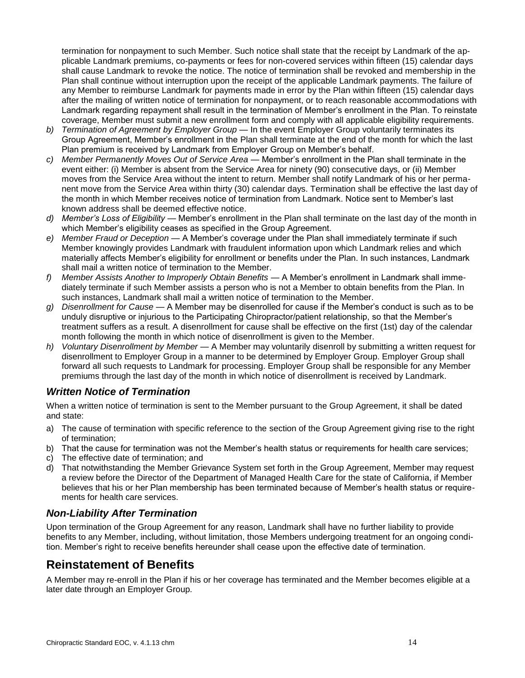termination for nonpayment to such Member. Such notice shall state that the receipt by Landmark of the applicable Landmark premiums, co-payments or fees for non-covered services within fifteen (15) calendar days shall cause Landmark to revoke the notice. The notice of termination shall be revoked and membership in the Plan shall continue without interruption upon the receipt of the applicable Landmark payments. The failure of any Member to reimburse Landmark for payments made in error by the Plan within fifteen (15) calendar days after the mailing of written notice of termination for nonpayment, or to reach reasonable accommodations with Landmark regarding repayment shall result in the termination of Member's enrollment in the Plan. To reinstate coverage, Member must submit a new enrollment form and comply with all applicable eligibility requirements.

- *b) Termination of Agreement by Employer Group* In the event Employer Group voluntarily terminates its Group Agreement, Member's enrollment in the Plan shall terminate at the end of the month for which the last Plan premium is received by Landmark from Employer Group on Member's behalf.
- *c) Member Permanently Moves Out of Service Area*  Member's enrollment in the Plan shall terminate in the event either: (i) Member is absent from the Service Area for ninety (90) consecutive days, or (ii) Member moves from the Service Area without the intent to return. Member shall notify Landmark of his or her permanent move from the Service Area within thirty (30) calendar days. Termination shall be effective the last day of the month in which Member receives notice of termination from Landmark. Notice sent to Member's last known address shall be deemed effective notice.
- *d) Member's Loss of Eligibility*  Member's enrollment in the Plan shall terminate on the last day of the month in which Member's eligibility ceases as specified in the Group Agreement.
- *e) Member Fraud or Deception*  A Member's coverage under the Plan shall immediately terminate if such Member knowingly provides Landmark with fraudulent information upon which Landmark relies and which materially affects Member's eligibility for enrollment or benefits under the Plan. In such instances, Landmark shall mail a written notice of termination to the Member.
- *f) Member Assists Another to Improperly Obtain Benefits*  A Member's enrollment in Landmark shall immediately terminate if such Member assists a person who is not a Member to obtain benefits from the Plan. In such instances, Landmark shall mail a written notice of termination to the Member.
- *g) Disenrollment for Cause*  A Member may be disenrolled for cause if the Member's conduct is such as to be unduly disruptive or injurious to the Participating Chiropractor/patient relationship, so that the Member's treatment suffers as a result. A disenrollment for cause shall be effective on the first (1st) day of the calendar month following the month in which notice of disenrollment is given to the Member.
- *h) Voluntary Disenrollment by Member*  A Member may voluntarily disenroll by submitting a written request for disenrollment to Employer Group in a manner to be determined by Employer Group. Employer Group shall forward all such requests to Landmark for processing. Employer Group shall be responsible for any Member premiums through the last day of the month in which notice of disenrollment is received by Landmark.

### *Written Notice of Termination*

When a written notice of termination is sent to the Member pursuant to the Group Agreement, it shall be dated and state:

- a) The cause of termination with specific reference to the section of the Group Agreement giving rise to the right of termination;
- b) That the cause for termination was not the Member's health status or requirements for health care services;
- c) The effective date of termination; and
- d) That notwithstanding the Member Grievance System set forth in the Group Agreement, Member may request a review before the Director of the Department of Managed Health Care for the state of California, if Member believes that his or her Plan membership has been terminated because of Member's health status or requirements for health care services.

### *Non-Liability After Termination*

Upon termination of the Group Agreement for any reason, Landmark shall have no further liability to provide benefits to any Member, including, without limitation, those Members undergoing treatment for an ongoing condition. Member's right to receive benefits hereunder shall cease upon the effective date of termination.

# **Reinstatement of Benefits**

A Member may re-enroll in the Plan if his or her coverage has terminated and the Member becomes eligible at a later date through an Employer Group.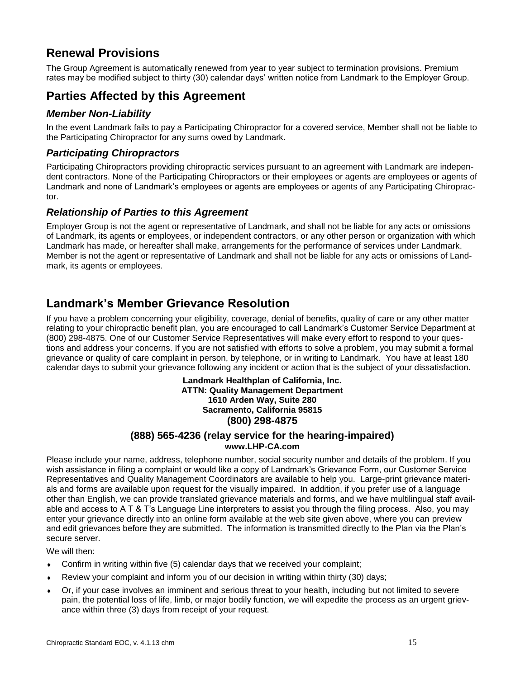# **Renewal Provisions**

The Group Agreement is automatically renewed from year to year subject to termination provisions. Premium rates may be modified subject to thirty (30) calendar days' written notice from Landmark to the Employer Group.

# **Parties Affected by this Agreement**

#### *Member Non-Liability*

In the event Landmark fails to pay a Participating Chiropractor for a covered service, Member shall not be liable to the Participating Chiropractor for any sums owed by Landmark.

#### *Participating Chiropractors*

Participating Chiropractors providing chiropractic services pursuant to an agreement with Landmark are independent contractors. None of the Participating Chiropractors or their employees or agents are employees or agents of Landmark and none of Landmark's employees or agents are employees or agents of any Participating Chiropractor.

#### *Relationship of Parties to this Agreement*

Employer Group is not the agent or representative of Landmark, and shall not be liable for any acts or omissions of Landmark, its agents or employees, or independent contractors, or any other person or organization with which Landmark has made, or hereafter shall make, arrangements for the performance of services under Landmark. Member is not the agent or representative of Landmark and shall not be liable for any acts or omissions of Landmark, its agents or employees.

# **Landmark's Member Grievance Resolution**

If you have a problem concerning your eligibility, coverage, denial of benefits, quality of care or any other matter relating to your chiropractic benefit plan, you are encouraged to call Landmark's Customer Service Department at (800) 298-4875. One of our Customer Service Representatives will make every effort to respond to your questions and address your concerns. If you are not satisfied with efforts to solve a problem, you may submit a formal grievance or quality of care complaint in person, by telephone, or in writing to Landmark. You have at least 180 calendar days to submit your grievance following any incident or action that is the subject of your dissatisfaction.

> **Landmark Healthplan of California, Inc. ATTN: Quality Management Department 1610 Arden Way, Suite 280 Sacramento, California 95815 (800) 298-4875**

#### **(888) 565-4236 (relay service for the hearing-impaired) www.LHP-CA.com**

Please include your name, address, telephone number, social security number and details of the problem. If you wish assistance in filing a complaint or would like a copy of Landmark's Grievance Form, our Customer Service Representatives and Quality Management Coordinators are available to help you. Large-print grievance materials and forms are available upon request for the visually impaired. In addition, if you prefer use of a language other than English, we can provide translated grievance materials and forms, and we have multilingual staff available and access to A T & T's Language Line interpreters to assist you through the filing process. Also, you may enter your grievance directly into an online form available at the web site given above, where you can preview and edit grievances before they are submitted. The information is transmitted directly to the Plan via the Plan's secure server.

We will then:

- Confirm in writing within five (5) calendar days that we received your complaint;
- Review your complaint and inform you of our decision in writing within thirty (30) days;
- Or, if your case involves an imminent and serious threat to your health, including but not limited to severe pain, the potential loss of life, limb, or major bodily function, we will expedite the process as an urgent grievance within three (3) days from receipt of your request.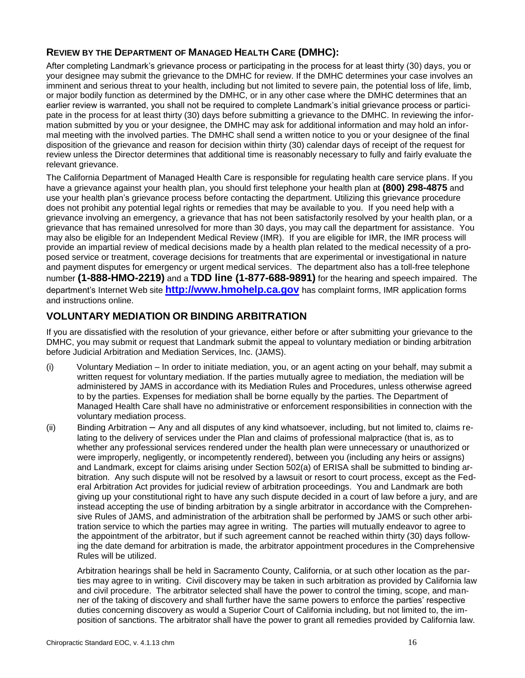## **REVIEW BY THE DEPARTMENT OF MANAGED HEALTH CARE (DMHC):**

After completing Landmark's grievance process or participating in the process for at least thirty (30) days, you or your designee may submit the grievance to the DMHC for review. If the DMHC determines your case involves an imminent and serious threat to your health, including but not limited to severe pain, the potential loss of life, limb, or major bodily function as determined by the DMHC, or in any other case where the DMHC determines that an earlier review is warranted, you shall not be required to complete Landmark's initial grievance process or participate in the process for at least thirty (30) days before submitting a grievance to the DMHC. In reviewing the information submitted by you or your designee, the DMHC may ask for additional information and may hold an informal meeting with the involved parties. The DMHC shall send a written notice to you or your designee of the final disposition of the grievance and reason for decision within thirty (30) calendar days of receipt of the request for review unless the Director determines that additional time is reasonably necessary to fully and fairly evaluate the relevant grievance.

The California Department of Managed Health Care is responsible for regulating health care service plans. If you have a grievance against your health plan, you should first telephone your health plan at **(800) 298-4875** and use your health plan's grievance process before contacting the department. Utilizing this grievance procedure does not prohibit any potential legal rights or remedies that may be available to you. If you need help with a grievance involving an emergency, a grievance that has not been satisfactorily resolved by your health plan, or a grievance that has remained unresolved for more than 30 days, you may call the department for assistance. You may also be eligible for an Independent Medical Review (IMR). If you are eligible for IMR, the IMR process will provide an impartial review of medical decisions made by a health plan related to the medical necessity of a proposed service or treatment, coverage decisions for treatments that are experimental or investigational in nature and payment disputes for emergency or urgent medical services. The department also has a toll-free telephone number **(1-888-HMO-2219)** and a **TDD line (1-877-688-9891)** for the hearing and speech impaired. The department's Internet Web site **[http://www.hmohelp.ca.gov](http://www.hmohelp.ca.gov/)** has complaint forms, IMR application forms and instructions online.

## **VOLUNTARY MEDIATION OR BINDING ARBITRATION**

If you are dissatisfied with the resolution of your grievance, either before or after submitting your grievance to the DMHC, you may submit or request that Landmark submit the appeal to voluntary mediation or binding arbitration before Judicial Arbitration and Mediation Services, Inc. (JAMS).

- (i) Voluntary Mediation In order to initiate mediation, you, or an agent acting on your behalf, may submit a written request for voluntary mediation. If the parties mutually agree to mediation, the mediation will be administered by JAMS in accordance with its Mediation Rules and Procedures, unless otherwise agreed to by the parties. Expenses for mediation shall be borne equally by the parties. The Department of Managed Health Care shall have no administrative or enforcement responsibilities in connection with the voluntary mediation process.
- (ii) Binding Arbitration Any and all disputes of any kind whatsoever, including, but not limited to, claims relating to the delivery of services under the Plan and claims of professional malpractice (that is, as to whether any professional services rendered under the health plan were unnecessary or unauthorized or were improperly, negligently, or incompetently rendered), between you (including any heirs or assigns) and Landmark, except for claims arising under Section 502(a) of ERISA shall be submitted to binding arbitration. Any such dispute will not be resolved by a lawsuit or resort to court process, except as the Federal Arbitration Act provides for judicial review of arbitration proceedings. You and Landmark are both giving up your constitutional right to have any such dispute decided in a court of law before a jury, and are instead accepting the use of binding arbitration by a single arbitrator in accordance with the Comprehensive Rules of JAMS, and administration of the arbitration shall be performed by JAMS or such other arbitration service to which the parties may agree in writing. The parties will mutually endeavor to agree to the appointment of the arbitrator, but if such agreement cannot be reached within thirty (30) days following the date demand for arbitration is made, the arbitrator appointment procedures in the Comprehensive Rules will be utilized.

Arbitration hearings shall be held in Sacramento County, California, or at such other location as the parties may agree to in writing. Civil discovery may be taken in such arbitration as provided by California law and civil procedure. The arbitrator selected shall have the power to control the timing, scope, and manner of the taking of discovery and shall further have the same powers to enforce the parties' respective duties concerning discovery as would a Superior Court of California including, but not limited to, the imposition of sanctions. The arbitrator shall have the power to grant all remedies provided by California law.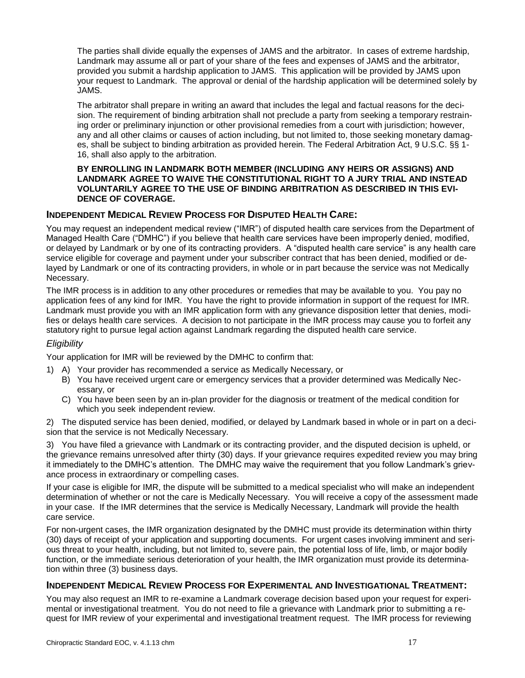The parties shall divide equally the expenses of JAMS and the arbitrator. In cases of extreme hardship, Landmark may assume all or part of your share of the fees and expenses of JAMS and the arbitrator, provided you submit a hardship application to JAMS. This application will be provided by JAMS upon your request to Landmark. The approval or denial of the hardship application will be determined solely by JAMS.

The arbitrator shall prepare in writing an award that includes the legal and factual reasons for the decision. The requirement of binding arbitration shall not preclude a party from seeking a temporary restraining order or preliminary injunction or other provisional remedies from a court with jurisdiction; however, any and all other claims or causes of action including, but not limited to, those seeking monetary damages, shall be subject to binding arbitration as provided herein. The Federal Arbitration Act, 9 U.S.C. §§ 1- 16, shall also apply to the arbitration.

#### **BY ENROLLING IN LANDMARK BOTH MEMBER (INCLUDING ANY HEIRS OR ASSIGNS) AND LANDMARK AGREE TO WAIVE THE CONSTITUTIONAL RIGHT TO A JURY TRIAL AND INSTEAD VOLUNTARILY AGREE TO THE USE OF BINDING ARBITRATION AS DESCRIBED IN THIS EVI-DENCE OF COVERAGE.**

#### **INDEPENDENT MEDICAL REVIEW PROCESS FOR DISPUTED HEALTH CARE:**

You may request an independent medical review ("IMR") of disputed health care services from the Department of Managed Health Care ("DMHC") if you believe that health care services have been improperly denied, modified, or delayed by Landmark or by one of its contracting providers. A "disputed health care service" is any health care service eligible for coverage and payment under your subscriber contract that has been denied, modified or delayed by Landmark or one of its contracting providers, in whole or in part because the service was not Medically Necessary.

The IMR process is in addition to any other procedures or remedies that may be available to you. You pay no application fees of any kind for IMR. You have the right to provide information in support of the request for IMR. Landmark must provide you with an IMR application form with any grievance disposition letter that denies, modifies or delays health care services. A decision to not participate in the IMR process may cause you to forfeit any statutory right to pursue legal action against Landmark regarding the disputed health care service.

#### *Eligibility*

Your application for IMR will be reviewed by the DMHC to confirm that:

- 1) A) Your provider has recommended a service as Medically Necessary, or
	- B) You have received urgent care or emergency services that a provider determined was Medically Necessary, or
	- C) You have been seen by an in-plan provider for the diagnosis or treatment of the medical condition for which you seek independent review.

2) The disputed service has been denied, modified, or delayed by Landmark based in whole or in part on a decision that the service is not Medically Necessary.

3) You have filed a grievance with Landmark or its contracting provider, and the disputed decision is upheld, or the grievance remains unresolved after thirty (30) days. If your grievance requires expedited review you may bring it immediately to the DMHC's attention. The DMHC may waive the requirement that you follow Landmark's grievance process in extraordinary or compelling cases.

If your case is eligible for IMR, the dispute will be submitted to a medical specialist who will make an independent determination of whether or not the care is Medically Necessary. You will receive a copy of the assessment made in your case. If the IMR determines that the service is Medically Necessary, Landmark will provide the health care service.

For non-urgent cases, the IMR organization designated by the DMHC must provide its determination within thirty (30) days of receipt of your application and supporting documents. For urgent cases involving imminent and serious threat to your health, including, but not limited to, severe pain, the potential loss of life, limb, or major bodily function, or the immediate serious deterioration of your health, the IMR organization must provide its determination within three (3) business days.

#### **INDEPENDENT MEDICAL REVIEW PROCESS FOR EXPERIMENTAL AND INVESTIGATIONAL TREATMENT:**

You may also request an IMR to re-examine a Landmark coverage decision based upon your request for experimental or investigational treatment. You do not need to file a grievance with Landmark prior to submitting a request for IMR review of your experimental and investigational treatment request. The IMR process for reviewing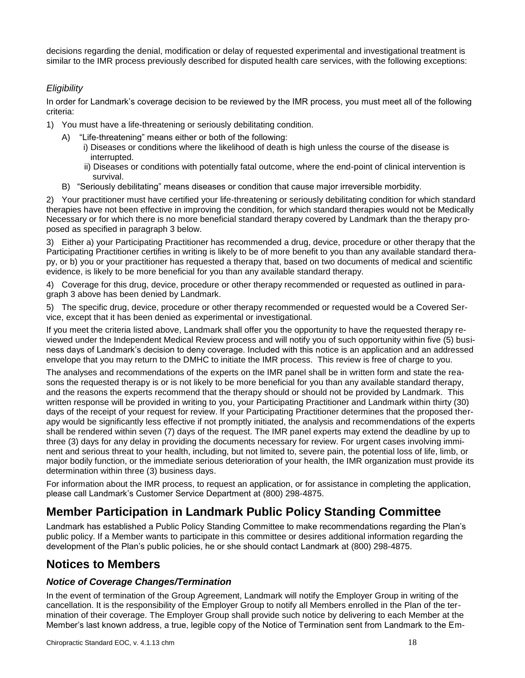decisions regarding the denial, modification or delay of requested experimental and investigational treatment is similar to the IMR process previously described for disputed health care services, with the following exceptions:

#### *Eligibility*

In order for Landmark's coverage decision to be reviewed by the IMR process, you must meet all of the following criteria:

- 1) You must have a life-threatening or seriously debilitating condition.
	- A) "Life-threatening" means either or both of the following:
		- i) Diseases or conditions where the likelihood of death is high unless the course of the disease is interrupted.
		- ii) Diseases or conditions with potentially fatal outcome, where the end-point of clinical intervention is survival.
	- B) "Seriously debilitating" means diseases or condition that cause major irreversible morbidity.

2) Your practitioner must have certified your life-threatening or seriously debilitating condition for which standard therapies have not been effective in improving the condition, for which standard therapies would not be Medically Necessary or for which there is no more beneficial standard therapy covered by Landmark than the therapy proposed as specified in paragraph 3 below.

3) Either a) your Participating Practitioner has recommended a drug, device, procedure or other therapy that the Participating Practitioner certifies in writing is likely to be of more benefit to you than any available standard therapy, or b) you or your practitioner has requested a therapy that, based on two documents of medical and scientific evidence, is likely to be more beneficial for you than any available standard therapy.

4) Coverage for this drug, device, procedure or other therapy recommended or requested as outlined in paragraph 3 above has been denied by Landmark.

5) The specific drug, device, procedure or other therapy recommended or requested would be a Covered Service, except that it has been denied as experimental or investigational.

If you meet the criteria listed above, Landmark shall offer you the opportunity to have the requested therapy reviewed under the Independent Medical Review process and will notify you of such opportunity within five (5) business days of Landmark's decision to deny coverage. Included with this notice is an application and an addressed envelope that you may return to the DMHC to initiate the IMR process. This review is free of charge to you.

The analyses and recommendations of the experts on the IMR panel shall be in written form and state the reasons the requested therapy is or is not likely to be more beneficial for you than any available standard therapy, and the reasons the experts recommend that the therapy should or should not be provided by Landmark. This written response will be provided in writing to you, your Participating Practitioner and Landmark within thirty (30) days of the receipt of your request for review. If your Participating Practitioner determines that the proposed therapy would be significantly less effective if not promptly initiated, the analysis and recommendations of the experts shall be rendered within seven (7) days of the request. The IMR panel experts may extend the deadline by up to three (3) days for any delay in providing the documents necessary for review. For urgent cases involving imminent and serious threat to your health, including, but not limited to, severe pain, the potential loss of life, limb, or major bodily function, or the immediate serious deterioration of your health, the IMR organization must provide its determination within three (3) business days.

For information about the IMR process, to request an application, or for assistance in completing the application, please call Landmark's Customer Service Department at (800) 298-4875.

# **Member Participation in Landmark Public Policy Standing Committee**

Landmark has established a Public Policy Standing Committee to make recommendations regarding the Plan's public policy. If a Member wants to participate in this committee or desires additional information regarding the development of the Plan's public policies, he or she should contact Landmark at (800) 298-4875.

## **Notices to Members**

#### *Notice of Coverage Changes/Termination*

In the event of termination of the Group Agreement, Landmark will notify the Employer Group in writing of the cancellation. It is the responsibility of the Employer Group to notify all Members enrolled in the Plan of the termination of their coverage. The Employer Group shall provide such notice by delivering to each Member at the Member's last known address, a true, legible copy of the Notice of Termination sent from Landmark to the Em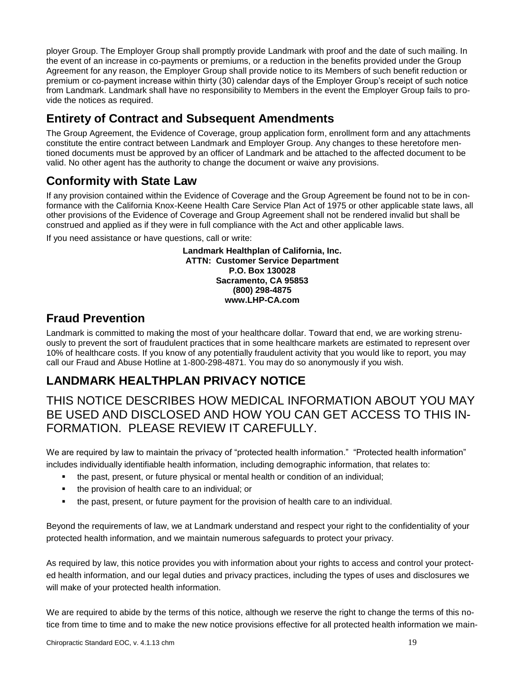ployer Group. The Employer Group shall promptly provide Landmark with proof and the date of such mailing. In the event of an increase in co-payments or premiums, or a reduction in the benefits provided under the Group Agreement for any reason, the Employer Group shall provide notice to its Members of such benefit reduction or premium or co-payment increase within thirty (30) calendar days of the Employer Group's receipt of such notice from Landmark. Landmark shall have no responsibility to Members in the event the Employer Group fails to provide the notices as required.

# **Entirety of Contract and Subsequent Amendments**

The Group Agreement, the Evidence of Coverage, group application form, enrollment form and any attachments constitute the entire contract between Landmark and Employer Group. Any changes to these heretofore mentioned documents must be approved by an officer of Landmark and be attached to the affected document to be valid. No other agent has the authority to change the document or waive any provisions.

# **Conformity with State Law**

If any provision contained within the Evidence of Coverage and the Group Agreement be found not to be in conformance with the California Knox-Keene Health Care Service Plan Act of 1975 or other applicable state laws, all other provisions of the Evidence of Coverage and Group Agreement shall not be rendered invalid but shall be construed and applied as if they were in full compliance with the Act and other applicable laws.

If you need assistance or have questions, call or write:

**Landmark Healthplan of California, Inc. ATTN: Customer Service Department P.O. Box 130028 Sacramento, CA 95853 (800) 298-4875 www.LHP-CA.com**

# **Fraud Prevention**

Landmark is committed to making the most of your healthcare dollar. Toward that end, we are working strenuously to prevent the sort of fraudulent practices that in some healthcare markets are estimated to represent over 10% of healthcare costs. If you know of any potentially fraudulent activity that you would like to report, you may call our Fraud and Abuse Hotline at 1-800-298-4871. You may do so anonymously if you wish.

# **LANDMARK HEALTHPLAN PRIVACY NOTICE**

# THIS NOTICE DESCRIBES HOW MEDICAL INFORMATION ABOUT YOU MAY BE USED AND DISCLOSED AND HOW YOU CAN GET ACCESS TO THIS IN-FORMATION. PLEASE REVIEW IT CAREFULLY.

We are required by law to maintain the privacy of "protected health information." "Protected health information" includes individually identifiable health information, including demographic information, that relates to:

- the past, present, or future physical or mental health or condition of an individual;
- the provision of health care to an individual; or
- the past, present, or future payment for the provision of health care to an individual.

Beyond the requirements of law, we at Landmark understand and respect your right to the confidentiality of your protected health information, and we maintain numerous safeguards to protect your privacy.

As required by law, this notice provides you with information about your rights to access and control your protected health information, and our legal duties and privacy practices, including the types of uses and disclosures we will make of your protected health information.

We are required to abide by the terms of this notice, although we reserve the right to change the terms of this notice from time to time and to make the new notice provisions effective for all protected health information we main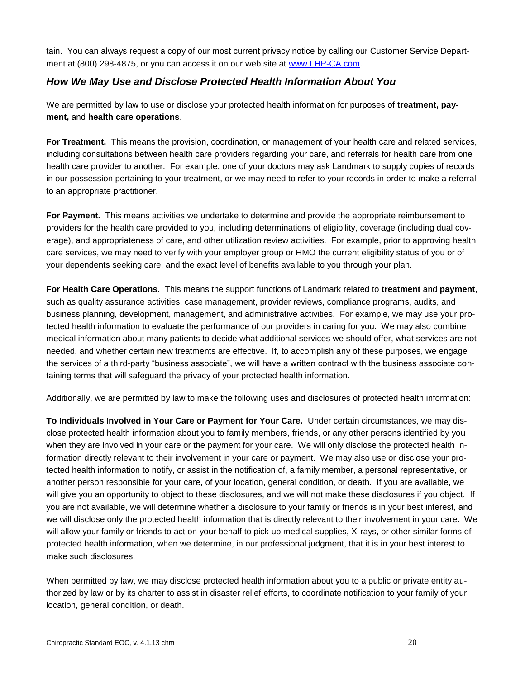tain. You can always request a copy of our most current privacy notice by calling our Customer Service Department at (800) 298-4875, or you can access it on our web site at [www.LHP-CA.com.](http://www.lhp-ca.com/)

#### *How We May Use and Disclose Protected Health Information About You*

We are permitted by law to use or disclose your protected health information for purposes of **treatment, payment,** and **health care operations**.

**For Treatment.** This means the provision, coordination, or management of your health care and related services, including consultations between health care providers regarding your care, and referrals for health care from one health care provider to another. For example, one of your doctors may ask Landmark to supply copies of records in our possession pertaining to your treatment, or we may need to refer to your records in order to make a referral to an appropriate practitioner.

**For Payment.** This means activities we undertake to determine and provide the appropriate reimbursement to providers for the health care provided to you, including determinations of eligibility, coverage (including dual coverage), and appropriateness of care, and other utilization review activities. For example, prior to approving health care services, we may need to verify with your employer group or HMO the current eligibility status of you or of your dependents seeking care, and the exact level of benefits available to you through your plan.

**For Health Care Operations.** This means the support functions of Landmark related to **treatment** and **payment**, such as quality assurance activities, case management, provider reviews, compliance programs, audits, and business planning, development, management, and administrative activities. For example, we may use your protected health information to evaluate the performance of our providers in caring for you. We may also combine medical information about many patients to decide what additional services we should offer, what services are not needed, and whether certain new treatments are effective. If, to accomplish any of these purposes, we engage the services of a third-party "business associate", we will have a written contract with the business associate containing terms that will safeguard the privacy of your protected health information.

Additionally, we are permitted by law to make the following uses and disclosures of protected health information:

**To Individuals Involved in Your Care or Payment for Your Care.** Under certain circumstances, we may disclose protected health information about you to family members, friends, or any other persons identified by you when they are involved in your care or the payment for your care. We will only disclose the protected health information directly relevant to their involvement in your care or payment. We may also use or disclose your protected health information to notify, or assist in the notification of, a family member, a personal representative, or another person responsible for your care, of your location, general condition, or death. If you are available, we will give you an opportunity to object to these disclosures, and we will not make these disclosures if you object. If you are not available, we will determine whether a disclosure to your family or friends is in your best interest, and we will disclose only the protected health information that is directly relevant to their involvement in your care. We will allow your family or friends to act on your behalf to pick up medical supplies, X-rays, or other similar forms of protected health information, when we determine, in our professional judgment, that it is in your best interest to make such disclosures.

When permitted by law, we may disclose protected health information about you to a public or private entity authorized by law or by its charter to assist in disaster relief efforts, to coordinate notification to your family of your location, general condition, or death.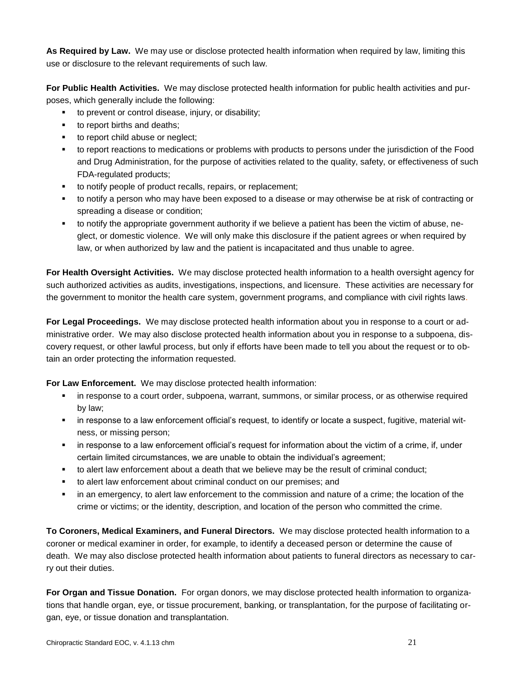**As Required by Law.** We may use or disclose protected health information when required by law, limiting this use or disclosure to the relevant requirements of such law.

**For Public Health Activities.** We may disclose protected health information for public health activities and purposes, which generally include the following:

- to prevent or control disease, injury, or disability;
- **to report births and deaths;**
- to report child abuse or neglect;
- to report reactions to medications or problems with products to persons under the jurisdiction of the Food and Drug Administration, for the purpose of activities related to the quality, safety, or effectiveness of such FDA-regulated products;
- to notify people of product recalls, repairs, or replacement;
- to notify a person who may have been exposed to a disease or may otherwise be at risk of contracting or spreading a disease or condition;
- to notify the appropriate government authority if we believe a patient has been the victim of abuse, neglect, or domestic violence. We will only make this disclosure if the patient agrees or when required by law, or when authorized by law and the patient is incapacitated and thus unable to agree.

**For Health Oversight Activities.** We may disclose protected health information to a health oversight agency for such authorized activities as audits, investigations, inspections, and licensure. These activities are necessary for the government to monitor the health care system, government programs, and compliance with civil rights laws.

**For Legal Proceedings.** We may disclose protected health information about you in response to a court or administrative order. We may also disclose protected health information about you in response to a subpoena, discovery request, or other lawful process, but only if efforts have been made to tell you about the request or to obtain an order protecting the information requested.

**For Law Enforcement.** We may disclose protected health information:

- **•** in response to a court order, subpoena, warrant, summons, or similar process, or as otherwise required by law;
- in response to a law enforcement official's request, to identify or locate a suspect, fugitive, material witness, or missing person;
- in response to a law enforcement official's request for information about the victim of a crime, if, under certain limited circumstances, we are unable to obtain the individual's agreement;
- to alert law enforcement about a death that we believe may be the result of criminal conduct;
- to alert law enforcement about criminal conduct on our premises; and
- in an emergency, to alert law enforcement to the commission and nature of a crime; the location of the crime or victims; or the identity, description, and location of the person who committed the crime.

**To Coroners, Medical Examiners, and Funeral Directors.** We may disclose protected health information to a coroner or medical examiner in order, for example, to identify a deceased person or determine the cause of death. We may also disclose protected health information about patients to funeral directors as necessary to carry out their duties.

**For Organ and Tissue Donation.** For organ donors, we may disclose protected health information to organizations that handle organ, eye, or tissue procurement, banking, or transplantation, for the purpose of facilitating organ, eye, or tissue donation and transplantation.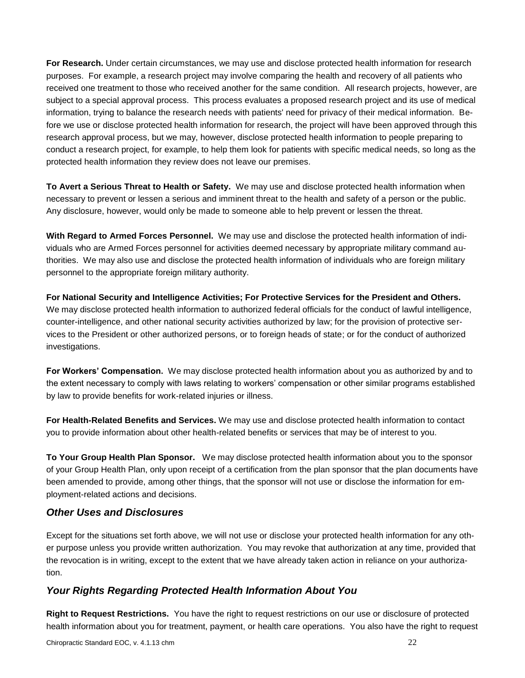**For Research.** Under certain circumstances, we may use and disclose protected health information for research purposes. For example, a research project may involve comparing the health and recovery of all patients who received one treatment to those who received another for the same condition. All research projects, however, are subject to a special approval process. This process evaluates a proposed research project and its use of medical information, trying to balance the research needs with patients' need for privacy of their medical information. Before we use or disclose protected health information for research, the project will have been approved through this research approval process, but we may, however, disclose protected health information to people preparing to conduct a research project, for example, to help them look for patients with specific medical needs, so long as the protected health information they review does not leave our premises.

**To Avert a Serious Threat to Health or Safety.** We may use and disclose protected health information when necessary to prevent or lessen a serious and imminent threat to the health and safety of a person or the public. Any disclosure, however, would only be made to someone able to help prevent or lessen the threat.

**With Regard to Armed Forces Personnel.** We may use and disclose the protected health information of individuals who are Armed Forces personnel for activities deemed necessary by appropriate military command authorities. We may also use and disclose the protected health information of individuals who are foreign military personnel to the appropriate foreign military authority.

**For National Security and Intelligence Activities; For Protective Services for the President and Others.** We may disclose protected health information to authorized federal officials for the conduct of lawful intelligence, counter-intelligence, and other national security activities authorized by law; for the provision of protective services to the President or other authorized persons, or to foreign heads of state; or for the conduct of authorized investigations.

**For Workers' Compensation.** We may disclose protected health information about you as authorized by and to the extent necessary to comply with laws relating to workers' compensation or other similar programs established by law to provide benefits for work-related injuries or illness.

**For Health-Related Benefits and Services.** We may use and disclose protected health information to contact you to provide information about other health-related benefits or services that may be of interest to you.

**To Your Group Health Plan Sponsor.** We may disclose protected health information about you to the sponsor of your Group Health Plan, only upon receipt of a certification from the plan sponsor that the plan documents have been amended to provide, among other things, that the sponsor will not use or disclose the information for employment-related actions and decisions.

### *Other Uses and Disclosures*

Except for the situations set forth above, we will not use or disclose your protected health information for any other purpose unless you provide written authorization. You may revoke that authorization at any time, provided that the revocation is in writing, except to the extent that we have already taken action in reliance on your authorization.

### *Your Rights Regarding Protected Health Information About You*

**Right to Request Restrictions.** You have the right to request restrictions on our use or disclosure of protected health information about you for treatment, payment, or health care operations. You also have the right to request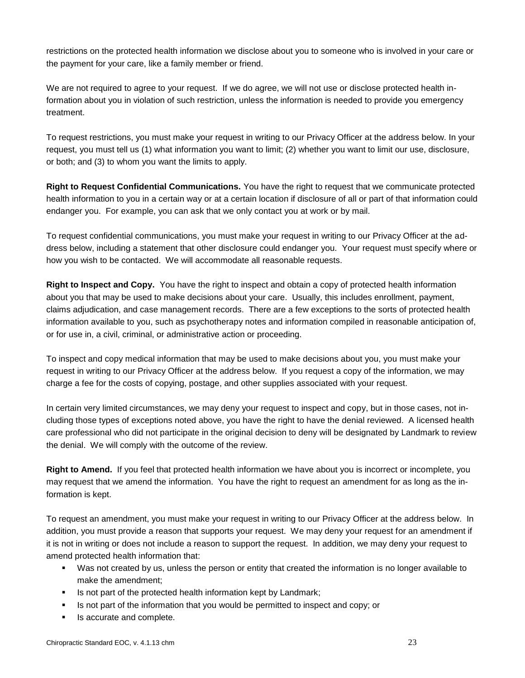restrictions on the protected health information we disclose about you to someone who is involved in your care or the payment for your care, like a family member or friend.

We are not required to agree to your request.If we do agree, we will not use or disclose protected health information about you in violation of such restriction, unless the information is needed to provide you emergency treatment.

To request restrictions, you must make your request in writing to our Privacy Officer at the address below. In your request, you must tell us (1) what information you want to limit; (2) whether you want to limit our use, disclosure, or both; and (3) to whom you want the limits to apply.

**Right to Request Confidential Communications.** You have the right to request that we communicate protected health information to you in a certain way or at a certain location if disclosure of all or part of that information could endanger you. For example, you can ask that we only contact you at work or by mail.

To request confidential communications, you must make your request in writing to our Privacy Officer at the address below, including a statement that other disclosure could endanger you. Your request must specify where or how you wish to be contacted. We will accommodate all reasonable requests.

**Right to Inspect and Copy.** You have the right to inspect and obtain a copy of protected health information about you that may be used to make decisions about your care. Usually, this includes enrollment, payment, claims adjudication, and case management records. There are a few exceptions to the sorts of protected health information available to you, such as psychotherapy notes and information compiled in reasonable anticipation of, or for use in, a civil, criminal, or administrative action or proceeding.

To inspect and copy medical information that may be used to make decisions about you, you must make your request in writing to our Privacy Officer at the address below. If you request a copy of the information, we may charge a fee for the costs of copying, postage, and other supplies associated with your request.

In certain very limited circumstances, we may deny your request to inspect and copy, but in those cases, not including those types of exceptions noted above, you have the right to have the denial reviewed. A licensed health care professional who did not participate in the original decision to deny will be designated by Landmark to review the denial. We will comply with the outcome of the review.

**Right to Amend.** If you feel that protected health information we have about you is incorrect or incomplete, you may request that we amend the information. You have the right to request an amendment for as long as the information is kept.

To request an amendment, you must make your request in writing to our Privacy Officer at the address below. In addition, you must provide a reason that supports your request. We may deny your request for an amendment if it is not in writing or does not include a reason to support the request. In addition, we may deny your request to amend protected health information that:

- Was not created by us, unless the person or entity that created the information is no longer available to make the amendment;
- **IS not part of the protected health information kept by Landmark;**
- Is not part of the information that you would be permitted to inspect and copy; or
- Is accurate and complete.